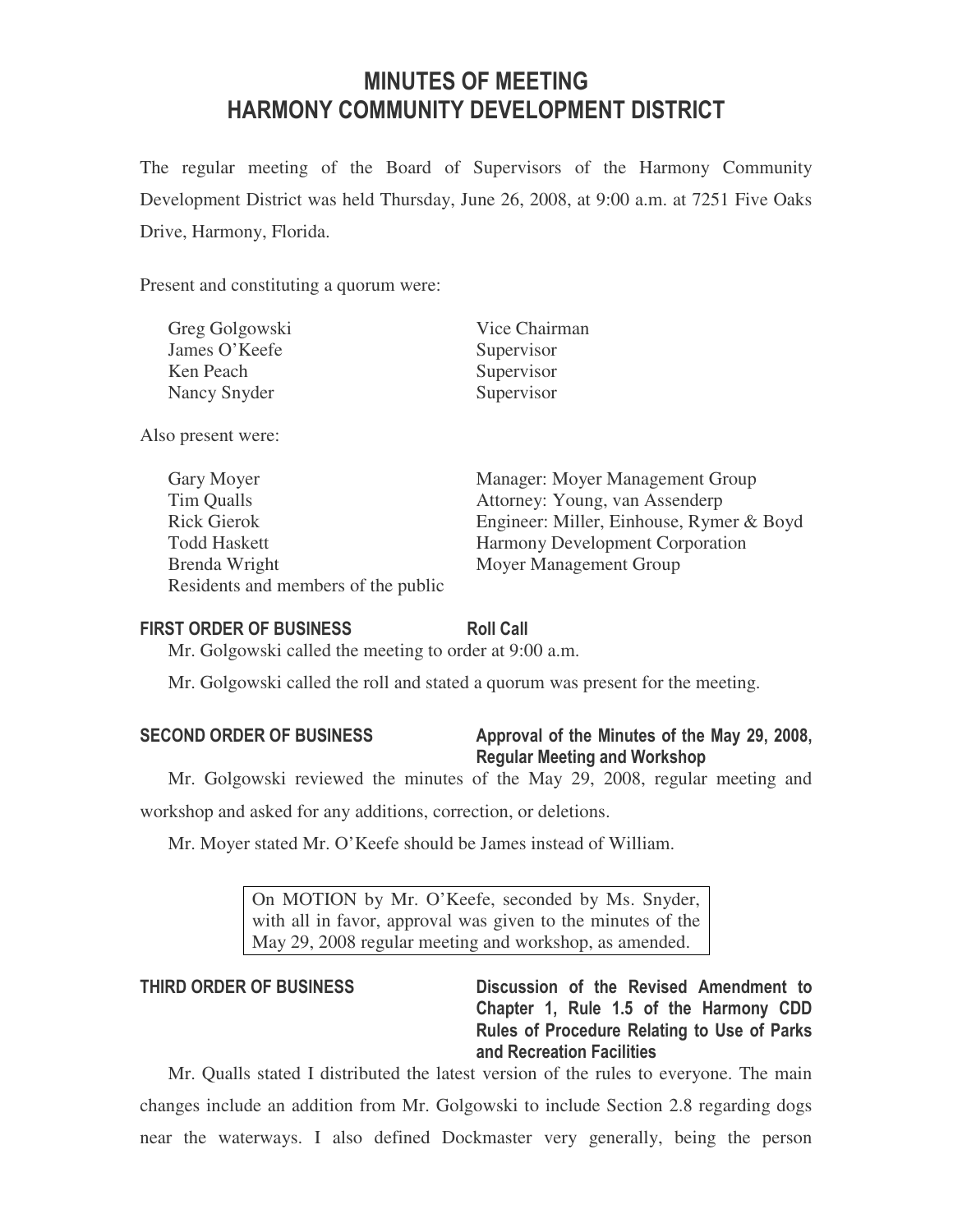# MINUTES OF MEETING HARMONY COMMUNITY DEVELOPMENT DISTRICT

The regular meeting of the Board of Supervisors of the Harmony Community Development District was held Thursday, June 26, 2008, at 9:00 a.m. at 7251 Five Oaks Drive, Harmony, Florida.

Present and constituting a quorum were:

| Greg Golgowski | Vice Chairman |  |  |
|----------------|---------------|--|--|
| James O'Keefe  | Supervisor    |  |  |
| Ken Peach      | Supervisor    |  |  |
| Nancy Snyder   | Supervisor    |  |  |

Also present were:

| Gary Moyer                          | Manager: Moyer Management Group          |
|-------------------------------------|------------------------------------------|
| Tim Qualls                          | Attorney: Young, van Assenderp           |
| <b>Rick Gierok</b>                  | Engineer: Miller, Einhouse, Rymer & Boyd |
| <b>Todd Haskett</b>                 | <b>Harmony Development Corporation</b>   |
| Brenda Wright                       | Moyer Management Group                   |
| Residents and members of the public |                                          |

#### FIRST ORDER OF BUSINESS Roll Call

Mr. Golgowski called the meeting to order at 9:00 a.m.

Mr. Golgowski called the roll and stated a quorum was present for the meeting.

| <b>SECOND ORDER OF BUSINESS</b> |  |  |
|---------------------------------|--|--|
|---------------------------------|--|--|

# Approval of the Minutes of the May 29, 2008, Regular Meeting and Workshop

Mr. Golgowski reviewed the minutes of the May 29, 2008, regular meeting and workshop and asked for any additions, correction, or deletions.

Mr. Moyer stated Mr. O'Keefe should be James instead of William.

On MOTION by Mr. O'Keefe, seconded by Ms. Snyder, with all in favor, approval was given to the minutes of the May 29, 2008 regular meeting and workshop, as amended.

THIRD ORDER OF BUSINESS Discussion of the Revised Amendment to Chapter 1, Rule 1.5 of the Harmony CDD Rules of Procedure Relating to Use of Parks and Recreation Facilities

Mr. Qualls stated I distributed the latest version of the rules to everyone. The main changes include an addition from Mr. Golgowski to include Section 2.8 regarding dogs near the waterways. I also defined Dockmaster very generally, being the person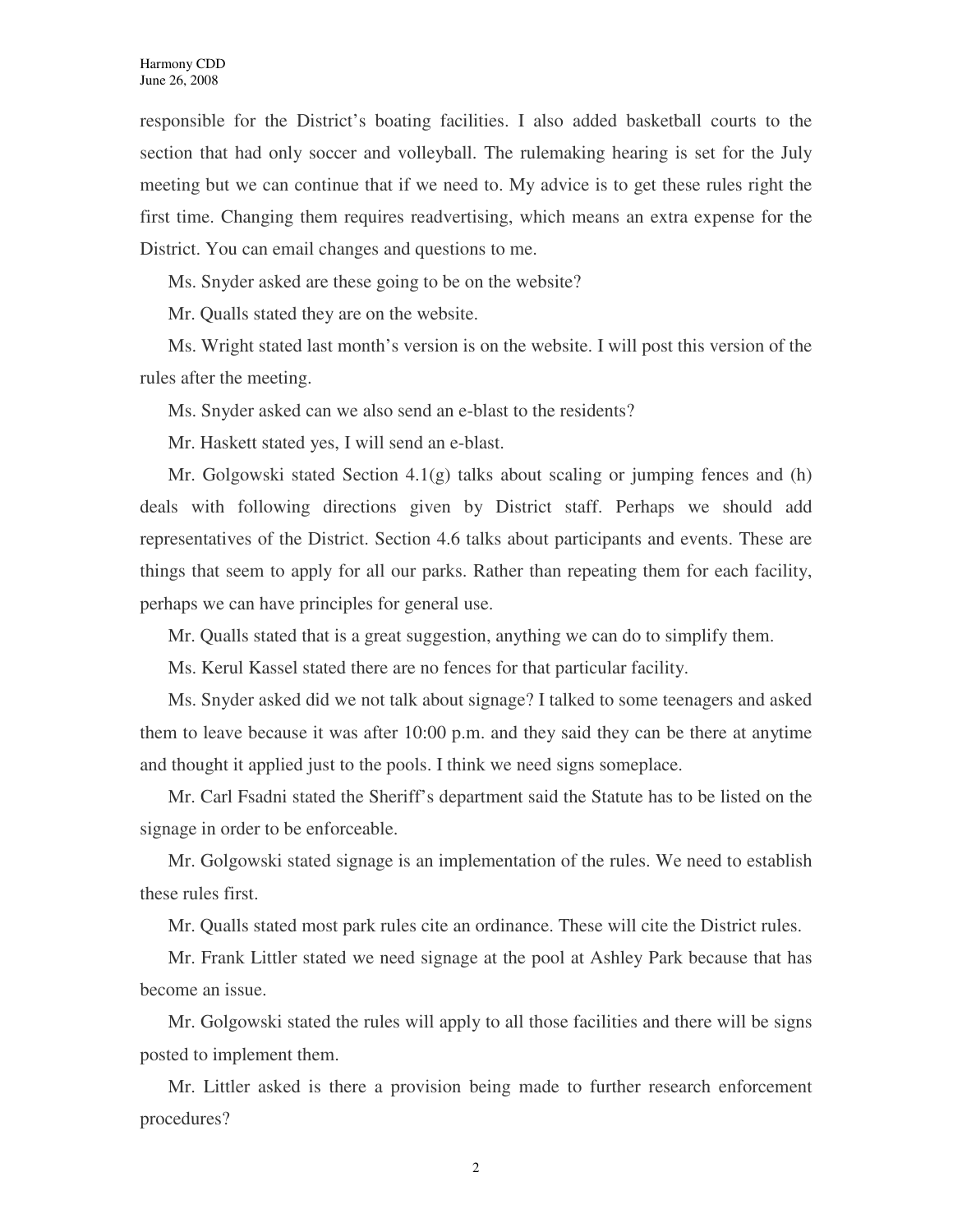responsible for the District's boating facilities. I also added basketball courts to the section that had only soccer and volleyball. The rulemaking hearing is set for the July meeting but we can continue that if we need to. My advice is to get these rules right the first time. Changing them requires readvertising, which means an extra expense for the District. You can email changes and questions to me.

Ms. Snyder asked are these going to be on the website?

Mr. Qualls stated they are on the website.

Ms. Wright stated last month's version is on the website. I will post this version of the rules after the meeting.

Ms. Snyder asked can we also send an e-blast to the residents?

Mr. Haskett stated yes, I will send an e-blast.

Mr. Golgowski stated Section 4.1(g) talks about scaling or jumping fences and (h) deals with following directions given by District staff. Perhaps we should add representatives of the District. Section 4.6 talks about participants and events. These are things that seem to apply for all our parks. Rather than repeating them for each facility, perhaps we can have principles for general use.

Mr. Qualls stated that is a great suggestion, anything we can do to simplify them.

Ms. Kerul Kassel stated there are no fences for that particular facility.

Ms. Snyder asked did we not talk about signage? I talked to some teenagers and asked them to leave because it was after 10:00 p.m. and they said they can be there at anytime and thought it applied just to the pools. I think we need signs someplace.

Mr. Carl Fsadni stated the Sheriff's department said the Statute has to be listed on the signage in order to be enforceable.

Mr. Golgowski stated signage is an implementation of the rules. We need to establish these rules first.

Mr. Qualls stated most park rules cite an ordinance. These will cite the District rules.

Mr. Frank Littler stated we need signage at the pool at Ashley Park because that has become an issue.

Mr. Golgowski stated the rules will apply to all those facilities and there will be signs posted to implement them.

Mr. Littler asked is there a provision being made to further research enforcement procedures?

2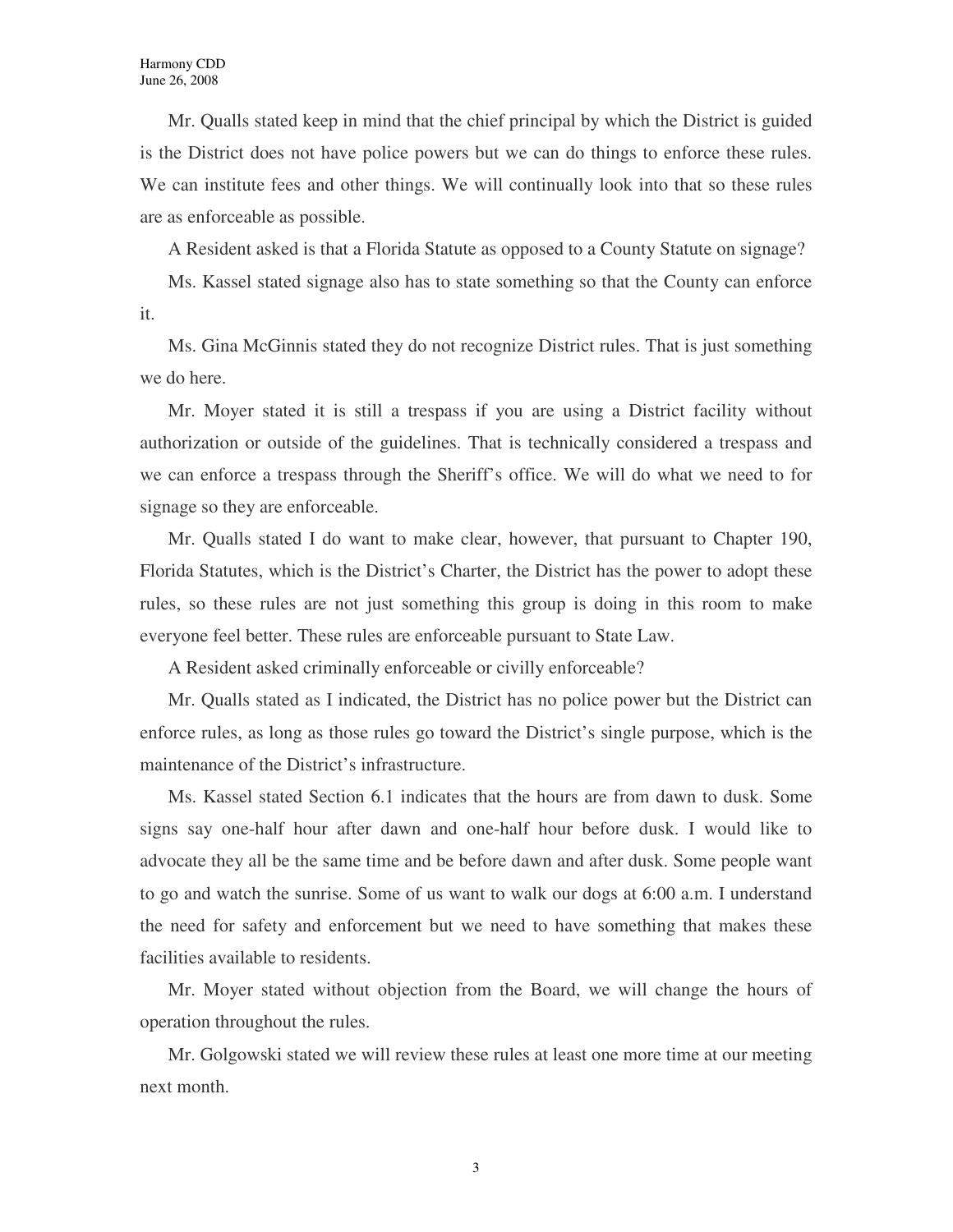Mr. Qualls stated keep in mind that the chief principal by which the District is guided is the District does not have police powers but we can do things to enforce these rules. We can institute fees and other things. We will continually look into that so these rules are as enforceable as possible.

A Resident asked is that a Florida Statute as opposed to a County Statute on signage?

Ms. Kassel stated signage also has to state something so that the County can enforce it.

Ms. Gina McGinnis stated they do not recognize District rules. That is just something we do here.

Mr. Moyer stated it is still a trespass if you are using a District facility without authorization or outside of the guidelines. That is technically considered a trespass and we can enforce a trespass through the Sheriff's office. We will do what we need to for signage so they are enforceable.

Mr. Qualls stated I do want to make clear, however, that pursuant to Chapter 190, Florida Statutes, which is the District's Charter, the District has the power to adopt these rules, so these rules are not just something this group is doing in this room to make everyone feel better. These rules are enforceable pursuant to State Law.

A Resident asked criminally enforceable or civilly enforceable?

Mr. Qualls stated as I indicated, the District has no police power but the District can enforce rules, as long as those rules go toward the District's single purpose, which is the maintenance of the District's infrastructure.

Ms. Kassel stated Section 6.1 indicates that the hours are from dawn to dusk. Some signs say one-half hour after dawn and one-half hour before dusk. I would like to advocate they all be the same time and be before dawn and after dusk. Some people want to go and watch the sunrise. Some of us want to walk our dogs at 6:00 a.m. I understand the need for safety and enforcement but we need to have something that makes these facilities available to residents.

Mr. Moyer stated without objection from the Board, we will change the hours of operation throughout the rules.

Mr. Golgowski stated we will review these rules at least one more time at our meeting next month.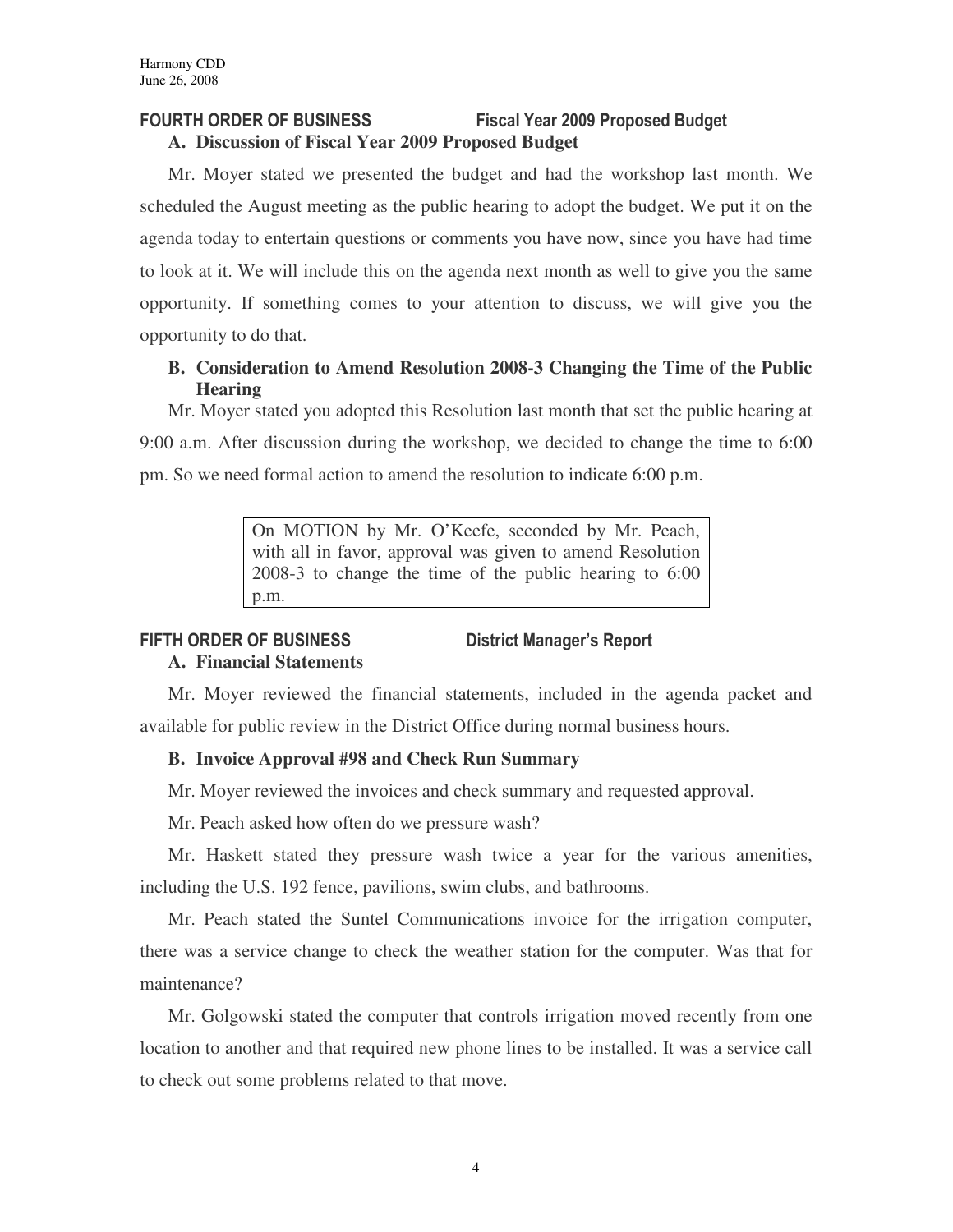# FOURTH ORDER OF BUSINESS Fiscal Year 2009 Proposed Budget **A. Discussion of Fiscal Year 2009 Proposed Budget**

Mr. Moyer stated we presented the budget and had the workshop last month. We scheduled the August meeting as the public hearing to adopt the budget. We put it on the agenda today to entertain questions or comments you have now, since you have had time to look at it. We will include this on the agenda next month as well to give you the same opportunity. If something comes to your attention to discuss, we will give you the opportunity to do that.

# **B. Consideration to Amend Resolution 2008-3 Changing the Time of the Public Hearing**

Mr. Moyer stated you adopted this Resolution last month that set the public hearing at 9:00 a.m. After discussion during the workshop, we decided to change the time to 6:00 pm. So we need formal action to amend the resolution to indicate 6:00 p.m.

> On MOTION by Mr. O'Keefe, seconded by Mr. Peach, with all in favor, approval was given to amend Resolution 2008-3 to change the time of the public hearing to 6:00 p.m.

# FIFTH ORDER OF BUSINESS District Manager's Report

# **A. Financial Statements**

Mr. Moyer reviewed the financial statements, included in the agenda packet and available for public review in the District Office during normal business hours.

# **B. Invoice Approval #98 and Check Run Summary**

Mr. Moyer reviewed the invoices and check summary and requested approval.

Mr. Peach asked how often do we pressure wash?

Mr. Haskett stated they pressure wash twice a year for the various amenities, including the U.S. 192 fence, pavilions, swim clubs, and bathrooms.

Mr. Peach stated the Suntel Communications invoice for the irrigation computer, there was a service change to check the weather station for the computer. Was that for maintenance?

Mr. Golgowski stated the computer that controls irrigation moved recently from one location to another and that required new phone lines to be installed. It was a service call to check out some problems related to that move.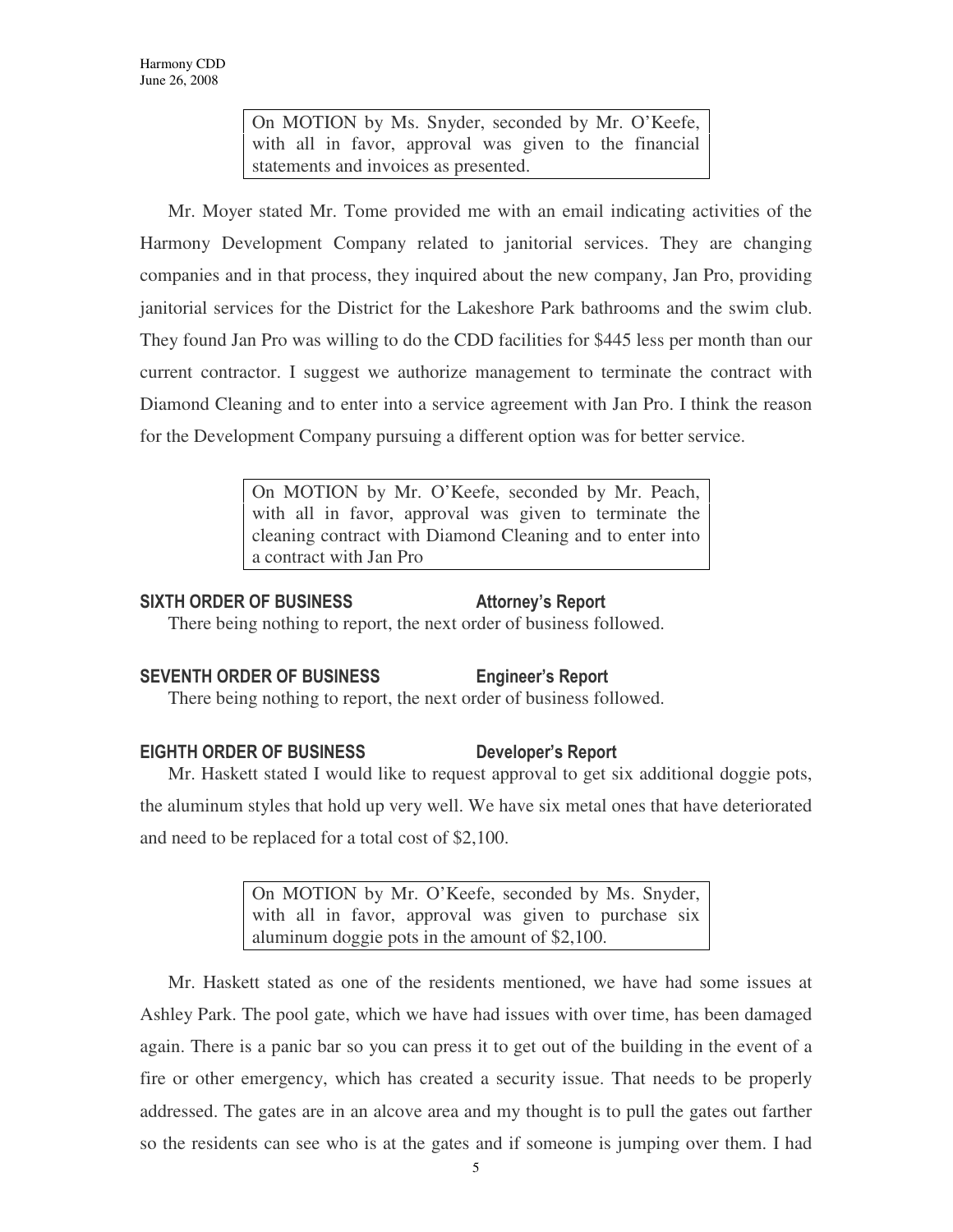On MOTION by Ms. Snyder, seconded by Mr. O'Keefe, with all in favor, approval was given to the financial statements and invoices as presented.

Mr. Moyer stated Mr. Tome provided me with an email indicating activities of the Harmony Development Company related to janitorial services. They are changing companies and in that process, they inquired about the new company, Jan Pro, providing janitorial services for the District for the Lakeshore Park bathrooms and the swim club. They found Jan Pro was willing to do the CDD facilities for \$445 less per month than our current contractor. I suggest we authorize management to terminate the contract with Diamond Cleaning and to enter into a service agreement with Jan Pro. I think the reason for the Development Company pursuing a different option was for better service.

> On MOTION by Mr. O'Keefe, seconded by Mr. Peach, with all in favor, approval was given to terminate the cleaning contract with Diamond Cleaning and to enter into a contract with Jan Pro

### SIXTH ORDER OF BUSINESS Attorney's Report

There being nothing to report, the next order of business followed.

# SEVENTH ORDER OF BUSINESS Engineer's Report

There being nothing to report, the next order of business followed.

# EIGHTH ORDER OF BUSINESS Developer's Report

Mr. Haskett stated I would like to request approval to get six additional doggie pots, the aluminum styles that hold up very well. We have six metal ones that have deteriorated and need to be replaced for a total cost of \$2,100.

> On MOTION by Mr. O'Keefe, seconded by Ms. Snyder, with all in favor, approval was given to purchase six aluminum doggie pots in the amount of \$2,100.

Mr. Haskett stated as one of the residents mentioned, we have had some issues at Ashley Park. The pool gate, which we have had issues with over time, has been damaged again. There is a panic bar so you can press it to get out of the building in the event of a fire or other emergency, which has created a security issue. That needs to be properly addressed. The gates are in an alcove area and my thought is to pull the gates out farther so the residents can see who is at the gates and if someone is jumping over them. I had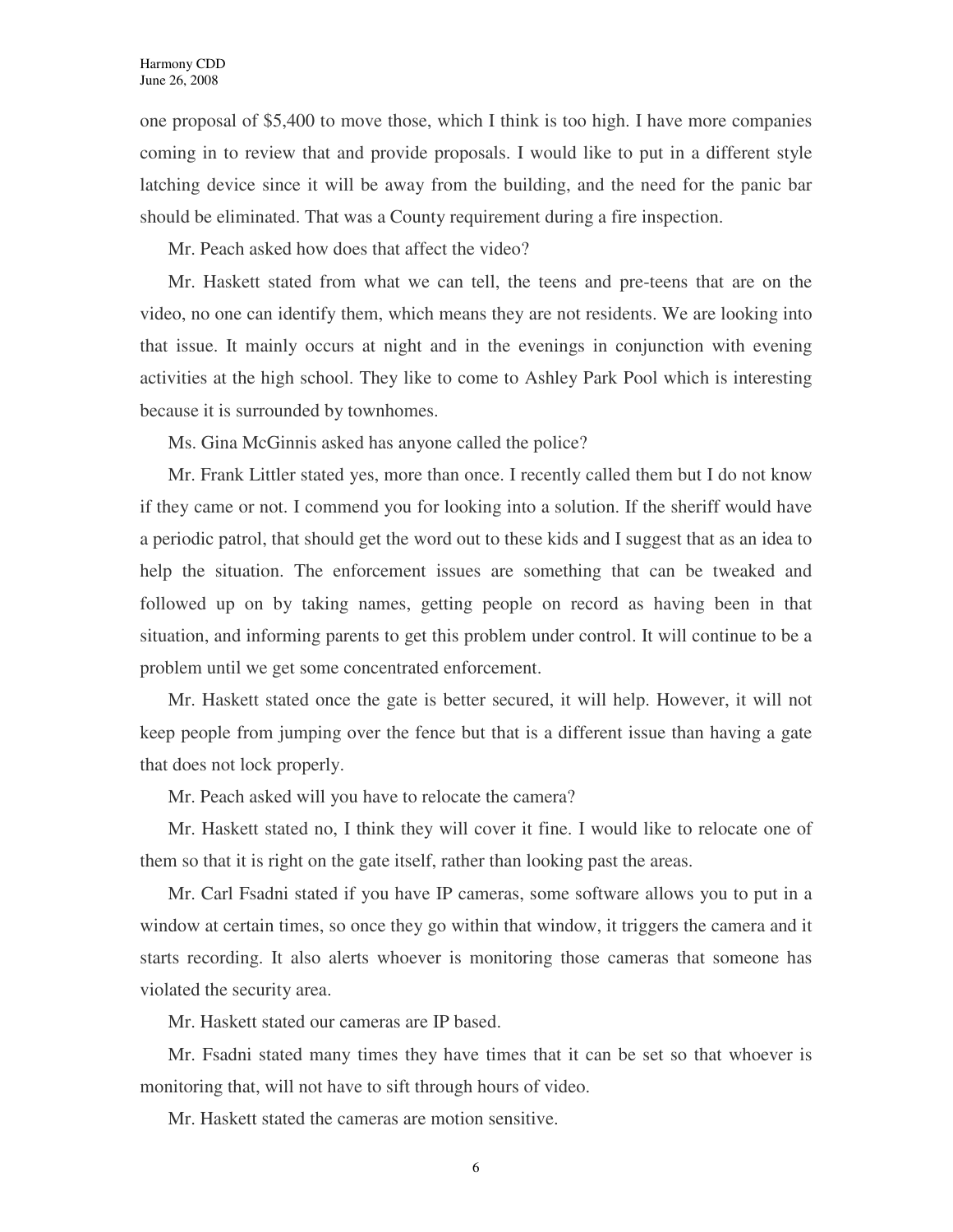one proposal of \$5,400 to move those, which I think is too high. I have more companies coming in to review that and provide proposals. I would like to put in a different style latching device since it will be away from the building, and the need for the panic bar should be eliminated. That was a County requirement during a fire inspection.

Mr. Peach asked how does that affect the video?

Mr. Haskett stated from what we can tell, the teens and pre-teens that are on the video, no one can identify them, which means they are not residents. We are looking into that issue. It mainly occurs at night and in the evenings in conjunction with evening activities at the high school. They like to come to Ashley Park Pool which is interesting because it is surrounded by townhomes.

Ms. Gina McGinnis asked has anyone called the police?

Mr. Frank Littler stated yes, more than once. I recently called them but I do not know if they came or not. I commend you for looking into a solution. If the sheriff would have a periodic patrol, that should get the word out to these kids and I suggest that as an idea to help the situation. The enforcement issues are something that can be tweaked and followed up on by taking names, getting people on record as having been in that situation, and informing parents to get this problem under control. It will continue to be a problem until we get some concentrated enforcement.

Mr. Haskett stated once the gate is better secured, it will help. However, it will not keep people from jumping over the fence but that is a different issue than having a gate that does not lock properly.

Mr. Peach asked will you have to relocate the camera?

Mr. Haskett stated no, I think they will cover it fine. I would like to relocate one of them so that it is right on the gate itself, rather than looking past the areas.

Mr. Carl Fsadni stated if you have IP cameras, some software allows you to put in a window at certain times, so once they go within that window, it triggers the camera and it starts recording. It also alerts whoever is monitoring those cameras that someone has violated the security area.

Mr. Haskett stated our cameras are IP based.

Mr. Fsadni stated many times they have times that it can be set so that whoever is monitoring that, will not have to sift through hours of video.

Mr. Haskett stated the cameras are motion sensitive.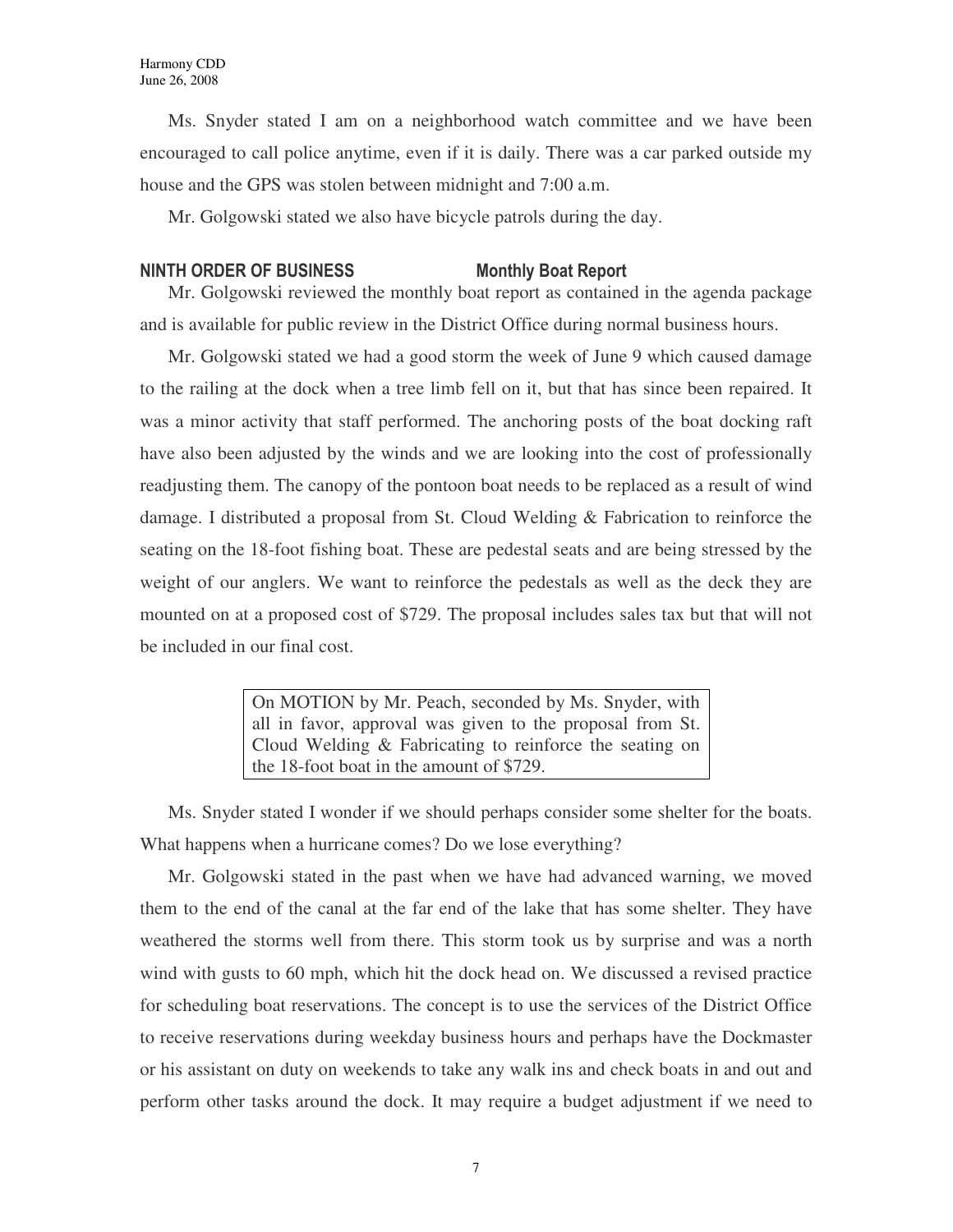Ms. Snyder stated I am on a neighborhood watch committee and we have been encouraged to call police anytime, even if it is daily. There was a car parked outside my house and the GPS was stolen between midnight and 7:00 a.m.

Mr. Golgowski stated we also have bicycle patrols during the day.

#### NINTH ORDER OF BUSINESS Monthly Boat Report

Mr. Golgowski reviewed the monthly boat report as contained in the agenda package and is available for public review in the District Office during normal business hours.

Mr. Golgowski stated we had a good storm the week of June 9 which caused damage to the railing at the dock when a tree limb fell on it, but that has since been repaired. It was a minor activity that staff performed. The anchoring posts of the boat docking raft have also been adjusted by the winds and we are looking into the cost of professionally readjusting them. The canopy of the pontoon boat needs to be replaced as a result of wind damage. I distributed a proposal from St. Cloud Welding & Fabrication to reinforce the seating on the 18-foot fishing boat. These are pedestal seats and are being stressed by the weight of our anglers. We want to reinforce the pedestals as well as the deck they are mounted on at a proposed cost of \$729. The proposal includes sales tax but that will not be included in our final cost.

> On MOTION by Mr. Peach, seconded by Ms. Snyder, with all in favor, approval was given to the proposal from St. Cloud Welding & Fabricating to reinforce the seating on the 18-foot boat in the amount of \$729.

Ms. Snyder stated I wonder if we should perhaps consider some shelter for the boats. What happens when a hurricane comes? Do we lose everything?

Mr. Golgowski stated in the past when we have had advanced warning, we moved them to the end of the canal at the far end of the lake that has some shelter. They have weathered the storms well from there. This storm took us by surprise and was a north wind with gusts to 60 mph, which hit the dock head on. We discussed a revised practice for scheduling boat reservations. The concept is to use the services of the District Office to receive reservations during weekday business hours and perhaps have the Dockmaster or his assistant on duty on weekends to take any walk ins and check boats in and out and perform other tasks around the dock. It may require a budget adjustment if we need to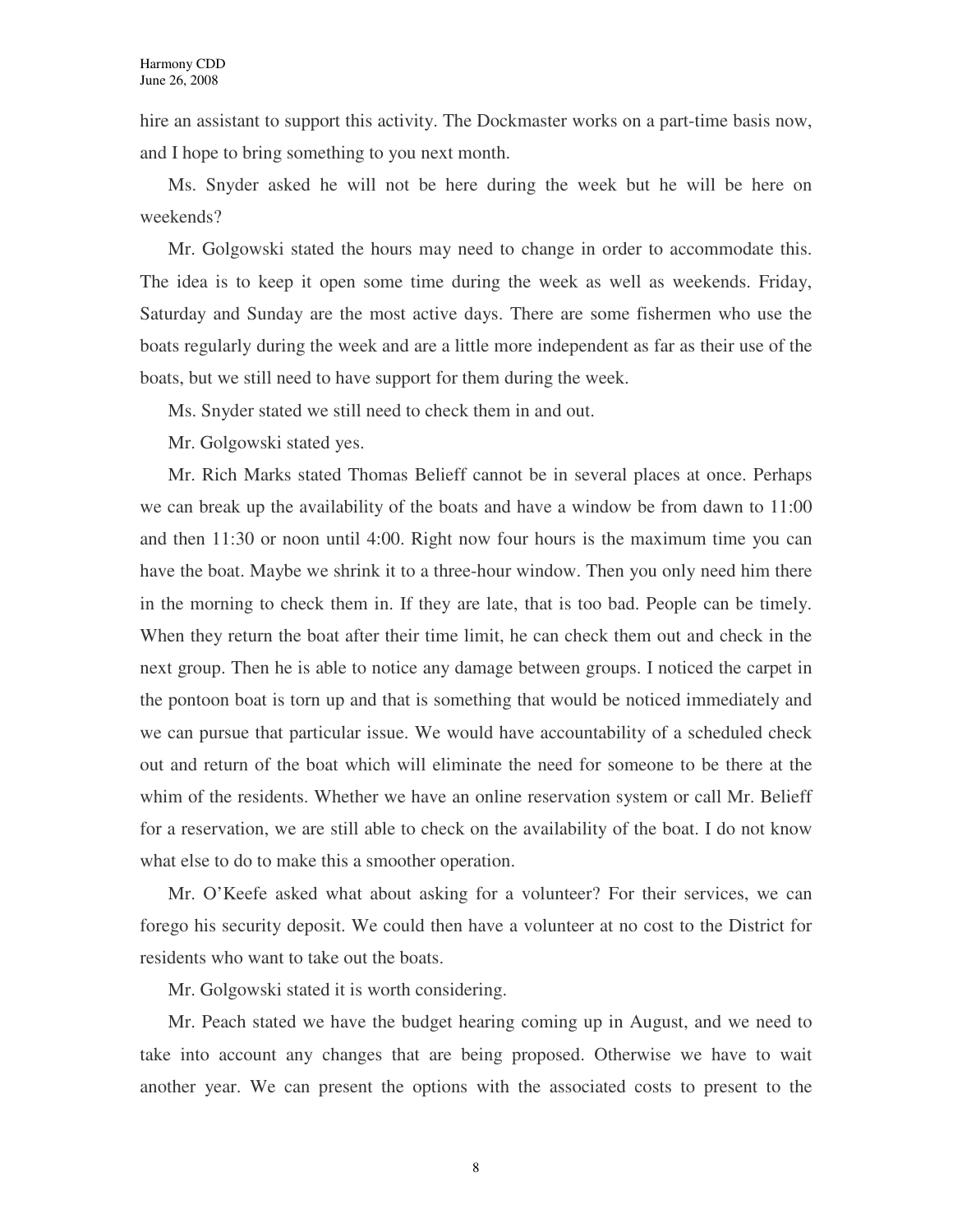hire an assistant to support this activity. The Dockmaster works on a part-time basis now, and I hope to bring something to you next month.

Ms. Snyder asked he will not be here during the week but he will be here on weekends?

Mr. Golgowski stated the hours may need to change in order to accommodate this. The idea is to keep it open some time during the week as well as weekends. Friday, Saturday and Sunday are the most active days. There are some fishermen who use the boats regularly during the week and are a little more independent as far as their use of the boats, but we still need to have support for them during the week.

Ms. Snyder stated we still need to check them in and out.

Mr. Golgowski stated yes.

Mr. Rich Marks stated Thomas Belieff cannot be in several places at once. Perhaps we can break up the availability of the boats and have a window be from dawn to 11:00 and then 11:30 or noon until 4:00. Right now four hours is the maximum time you can have the boat. Maybe we shrink it to a three-hour window. Then you only need him there in the morning to check them in. If they are late, that is too bad. People can be timely. When they return the boat after their time limit, he can check them out and check in the next group. Then he is able to notice any damage between groups. I noticed the carpet in the pontoon boat is torn up and that is something that would be noticed immediately and we can pursue that particular issue. We would have accountability of a scheduled check out and return of the boat which will eliminate the need for someone to be there at the whim of the residents. Whether we have an online reservation system or call Mr. Belieff for a reservation, we are still able to check on the availability of the boat. I do not know what else to do to make this a smoother operation.

Mr. O'Keefe asked what about asking for a volunteer? For their services, we can forego his security deposit. We could then have a volunteer at no cost to the District for residents who want to take out the boats.

Mr. Golgowski stated it is worth considering.

Mr. Peach stated we have the budget hearing coming up in August, and we need to take into account any changes that are being proposed. Otherwise we have to wait another year. We can present the options with the associated costs to present to the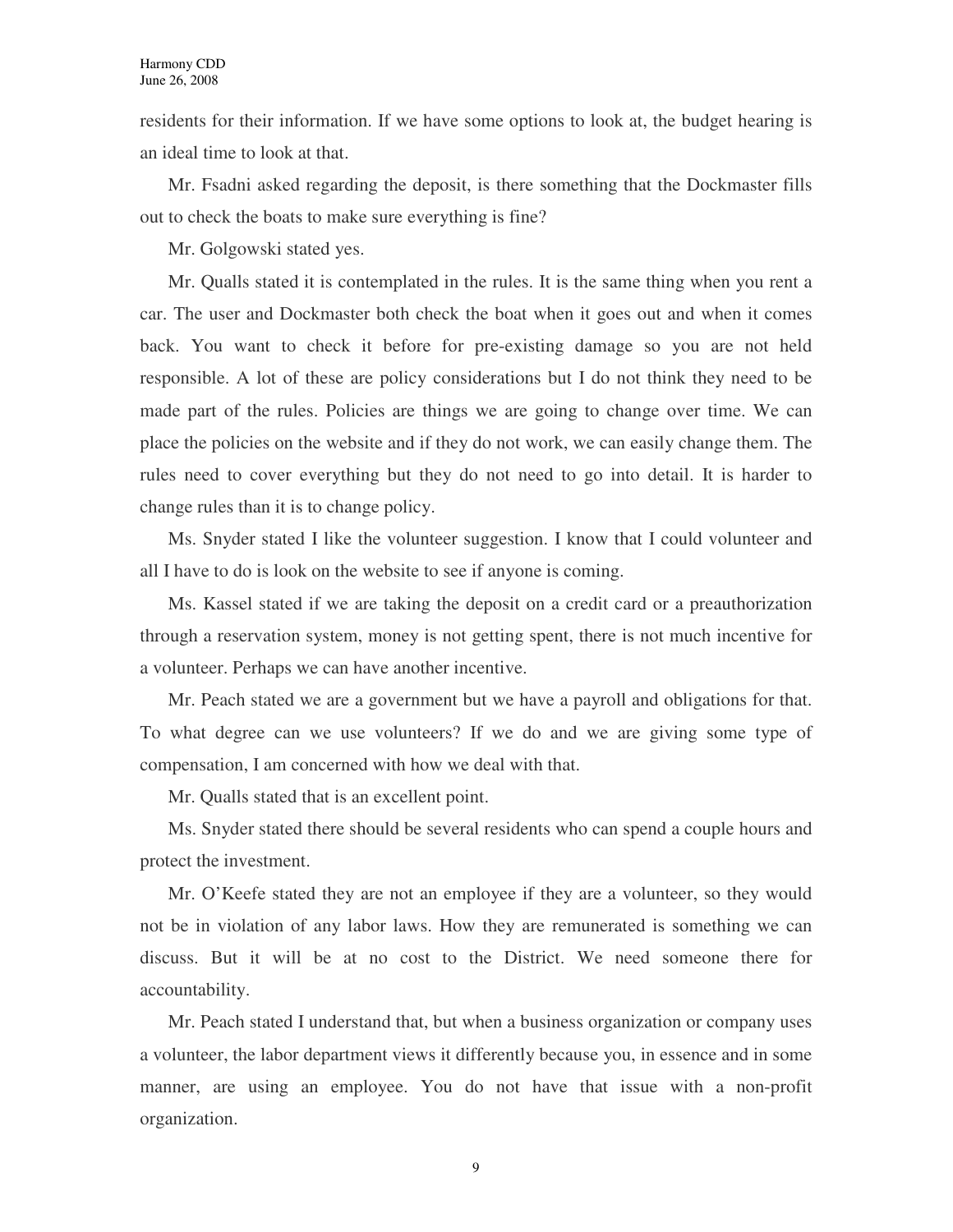residents for their information. If we have some options to look at, the budget hearing is an ideal time to look at that.

Mr. Fsadni asked regarding the deposit, is there something that the Dockmaster fills out to check the boats to make sure everything is fine?

Mr. Golgowski stated yes.

Mr. Qualls stated it is contemplated in the rules. It is the same thing when you rent a car. The user and Dockmaster both check the boat when it goes out and when it comes back. You want to check it before for pre-existing damage so you are not held responsible. A lot of these are policy considerations but I do not think they need to be made part of the rules. Policies are things we are going to change over time. We can place the policies on the website and if they do not work, we can easily change them. The rules need to cover everything but they do not need to go into detail. It is harder to change rules than it is to change policy.

Ms. Snyder stated I like the volunteer suggestion. I know that I could volunteer and all I have to do is look on the website to see if anyone is coming.

Ms. Kassel stated if we are taking the deposit on a credit card or a preauthorization through a reservation system, money is not getting spent, there is not much incentive for a volunteer. Perhaps we can have another incentive.

Mr. Peach stated we are a government but we have a payroll and obligations for that. To what degree can we use volunteers? If we do and we are giving some type of compensation, I am concerned with how we deal with that.

Mr. Qualls stated that is an excellent point.

Ms. Snyder stated there should be several residents who can spend a couple hours and protect the investment.

Mr. O'Keefe stated they are not an employee if they are a volunteer, so they would not be in violation of any labor laws. How they are remunerated is something we can discuss. But it will be at no cost to the District. We need someone there for accountability.

Mr. Peach stated I understand that, but when a business organization or company uses a volunteer, the labor department views it differently because you, in essence and in some manner, are using an employee. You do not have that issue with a non-profit organization.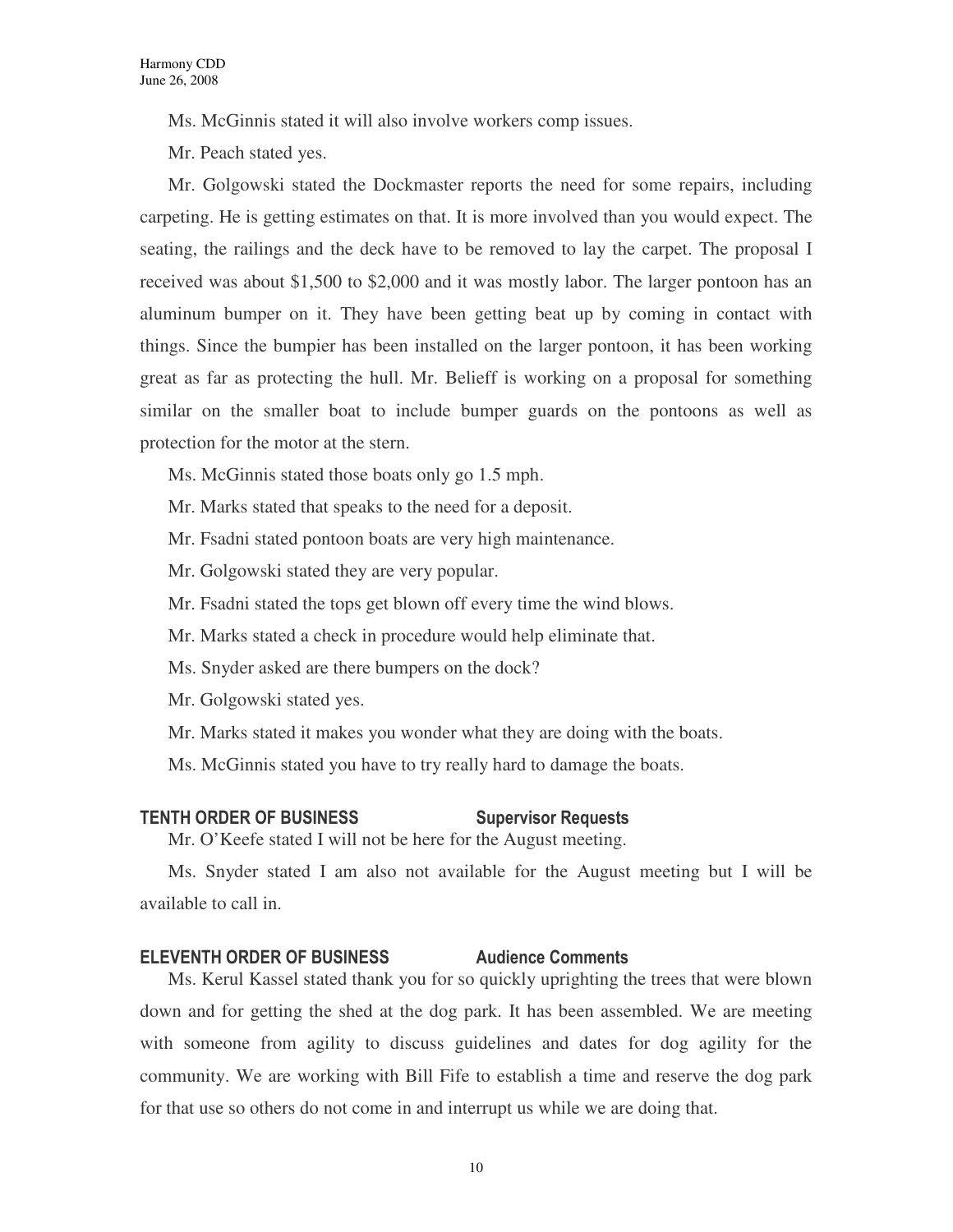Ms. McGinnis stated it will also involve workers comp issues.

Mr. Peach stated yes.

Mr. Golgowski stated the Dockmaster reports the need for some repairs, including carpeting. He is getting estimates on that. It is more involved than you would expect. The seating, the railings and the deck have to be removed to lay the carpet. The proposal I received was about \$1,500 to \$2,000 and it was mostly labor. The larger pontoon has an aluminum bumper on it. They have been getting beat up by coming in contact with things. Since the bumpier has been installed on the larger pontoon, it has been working great as far as protecting the hull. Mr. Belieff is working on a proposal for something similar on the smaller boat to include bumper guards on the pontoons as well as protection for the motor at the stern.

- Ms. McGinnis stated those boats only go 1.5 mph.
- Mr. Marks stated that speaks to the need for a deposit.
- Mr. Fsadni stated pontoon boats are very high maintenance.
- Mr. Golgowski stated they are very popular.
- Mr. Fsadni stated the tops get blown off every time the wind blows.
- Mr. Marks stated a check in procedure would help eliminate that.
- Ms. Snyder asked are there bumpers on the dock?
- Mr. Golgowski stated yes.
- Mr. Marks stated it makes you wonder what they are doing with the boats.
- Ms. McGinnis stated you have to try really hard to damage the boats.

### TENTH ORDER OF BUSINESS Supervisor Requests

Mr. O'Keefe stated I will not be here for the August meeting.

Ms. Snyder stated I am also not available for the August meeting but I will be available to call in.

### ELEVENTH ORDER OF BUSINESS Audience Comments

Ms. Kerul Kassel stated thank you for so quickly uprighting the trees that were blown down and for getting the shed at the dog park. It has been assembled. We are meeting with someone from agility to discuss guidelines and dates for dog agility for the community. We are working with Bill Fife to establish a time and reserve the dog park for that use so others do not come in and interrupt us while we are doing that.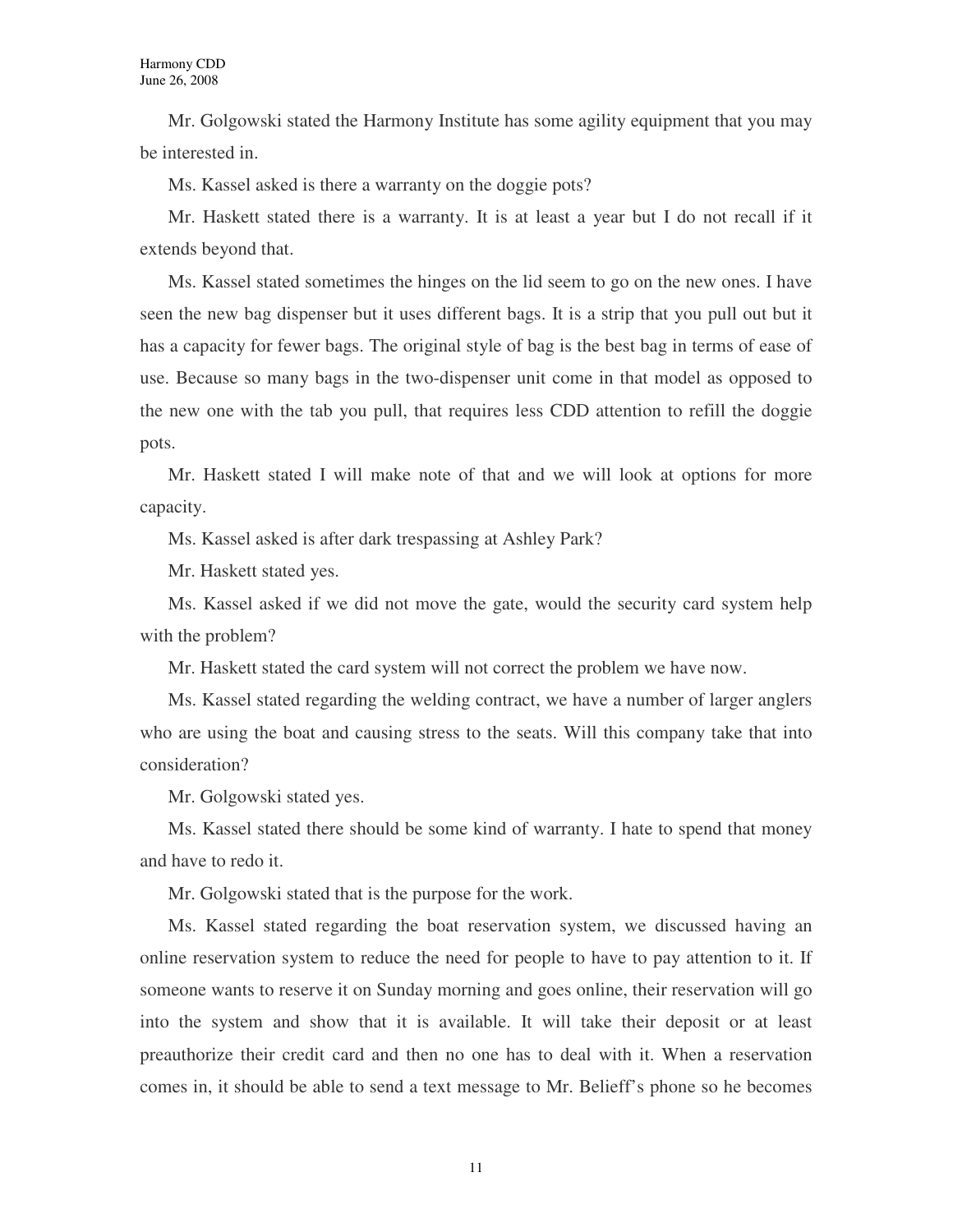Mr. Golgowski stated the Harmony Institute has some agility equipment that you may be interested in.

Ms. Kassel asked is there a warranty on the doggie pots?

Mr. Haskett stated there is a warranty. It is at least a year but I do not recall if it extends beyond that.

Ms. Kassel stated sometimes the hinges on the lid seem to go on the new ones. I have seen the new bag dispenser but it uses different bags. It is a strip that you pull out but it has a capacity for fewer bags. The original style of bag is the best bag in terms of ease of use. Because so many bags in the two-dispenser unit come in that model as opposed to the new one with the tab you pull, that requires less CDD attention to refill the doggie pots.

Mr. Haskett stated I will make note of that and we will look at options for more capacity.

Ms. Kassel asked is after dark trespassing at Ashley Park?

Mr. Haskett stated yes.

Ms. Kassel asked if we did not move the gate, would the security card system help with the problem?

Mr. Haskett stated the card system will not correct the problem we have now.

Ms. Kassel stated regarding the welding contract, we have a number of larger anglers who are using the boat and causing stress to the seats. Will this company take that into consideration?

Mr. Golgowski stated yes.

Ms. Kassel stated there should be some kind of warranty. I hate to spend that money and have to redo it.

Mr. Golgowski stated that is the purpose for the work.

Ms. Kassel stated regarding the boat reservation system, we discussed having an online reservation system to reduce the need for people to have to pay attention to it. If someone wants to reserve it on Sunday morning and goes online, their reservation will go into the system and show that it is available. It will take their deposit or at least preauthorize their credit card and then no one has to deal with it. When a reservation comes in, it should be able to send a text message to Mr. Belieff's phone so he becomes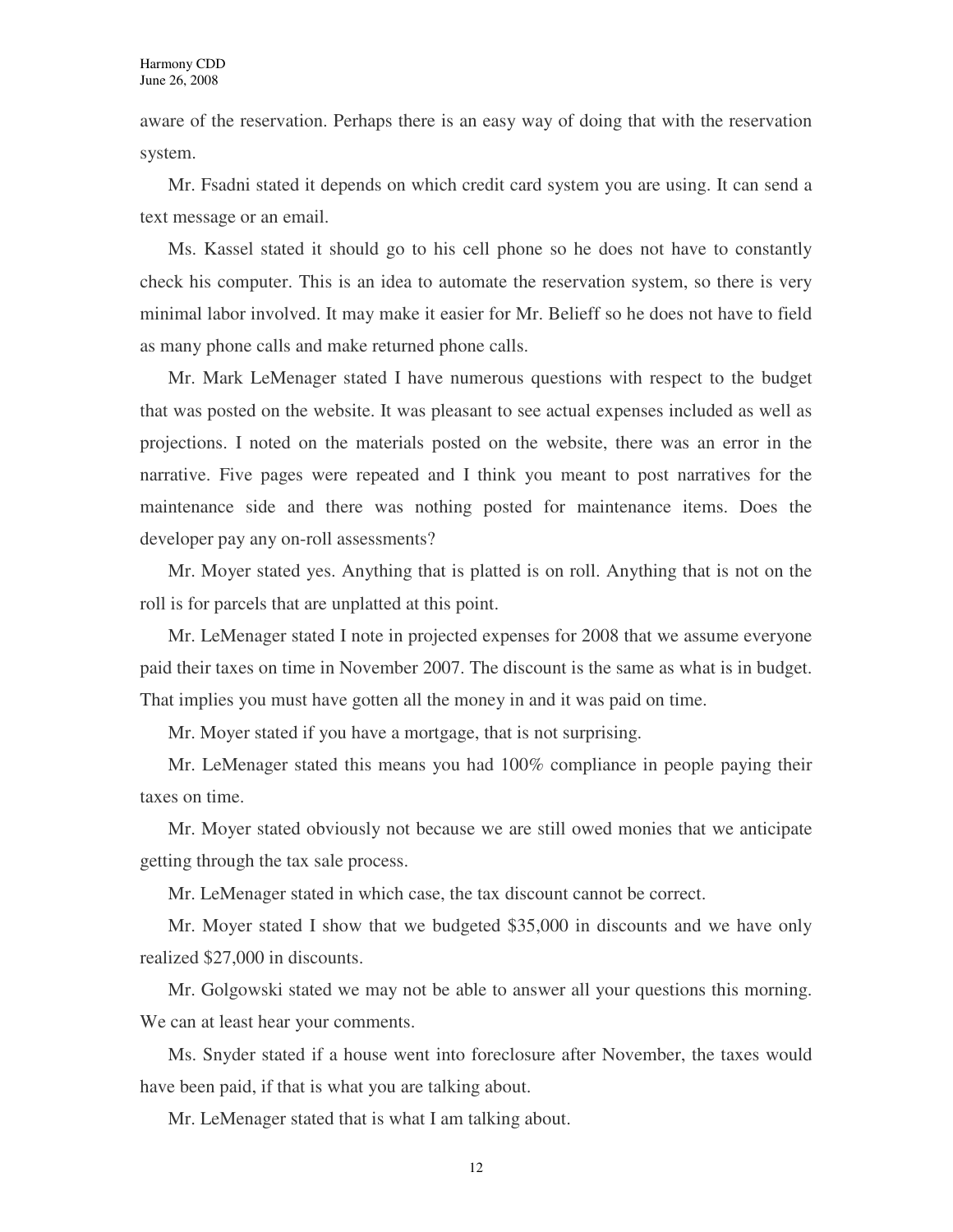aware of the reservation. Perhaps there is an easy way of doing that with the reservation system.

Mr. Fsadni stated it depends on which credit card system you are using. It can send a text message or an email.

Ms. Kassel stated it should go to his cell phone so he does not have to constantly check his computer. This is an idea to automate the reservation system, so there is very minimal labor involved. It may make it easier for Mr. Belieff so he does not have to field as many phone calls and make returned phone calls.

Mr. Mark LeMenager stated I have numerous questions with respect to the budget that was posted on the website. It was pleasant to see actual expenses included as well as projections. I noted on the materials posted on the website, there was an error in the narrative. Five pages were repeated and I think you meant to post narratives for the maintenance side and there was nothing posted for maintenance items. Does the developer pay any on-roll assessments?

Mr. Moyer stated yes. Anything that is platted is on roll. Anything that is not on the roll is for parcels that are unplatted at this point.

Mr. LeMenager stated I note in projected expenses for 2008 that we assume everyone paid their taxes on time in November 2007. The discount is the same as what is in budget. That implies you must have gotten all the money in and it was paid on time.

Mr. Moyer stated if you have a mortgage, that is not surprising.

Mr. LeMenager stated this means you had 100% compliance in people paying their taxes on time.

Mr. Moyer stated obviously not because we are still owed monies that we anticipate getting through the tax sale process.

Mr. LeMenager stated in which case, the tax discount cannot be correct.

Mr. Moyer stated I show that we budgeted \$35,000 in discounts and we have only realized \$27,000 in discounts.

Mr. Golgowski stated we may not be able to answer all your questions this morning. We can at least hear your comments.

Ms. Snyder stated if a house went into foreclosure after November, the taxes would have been paid, if that is what you are talking about.

Mr. LeMenager stated that is what I am talking about.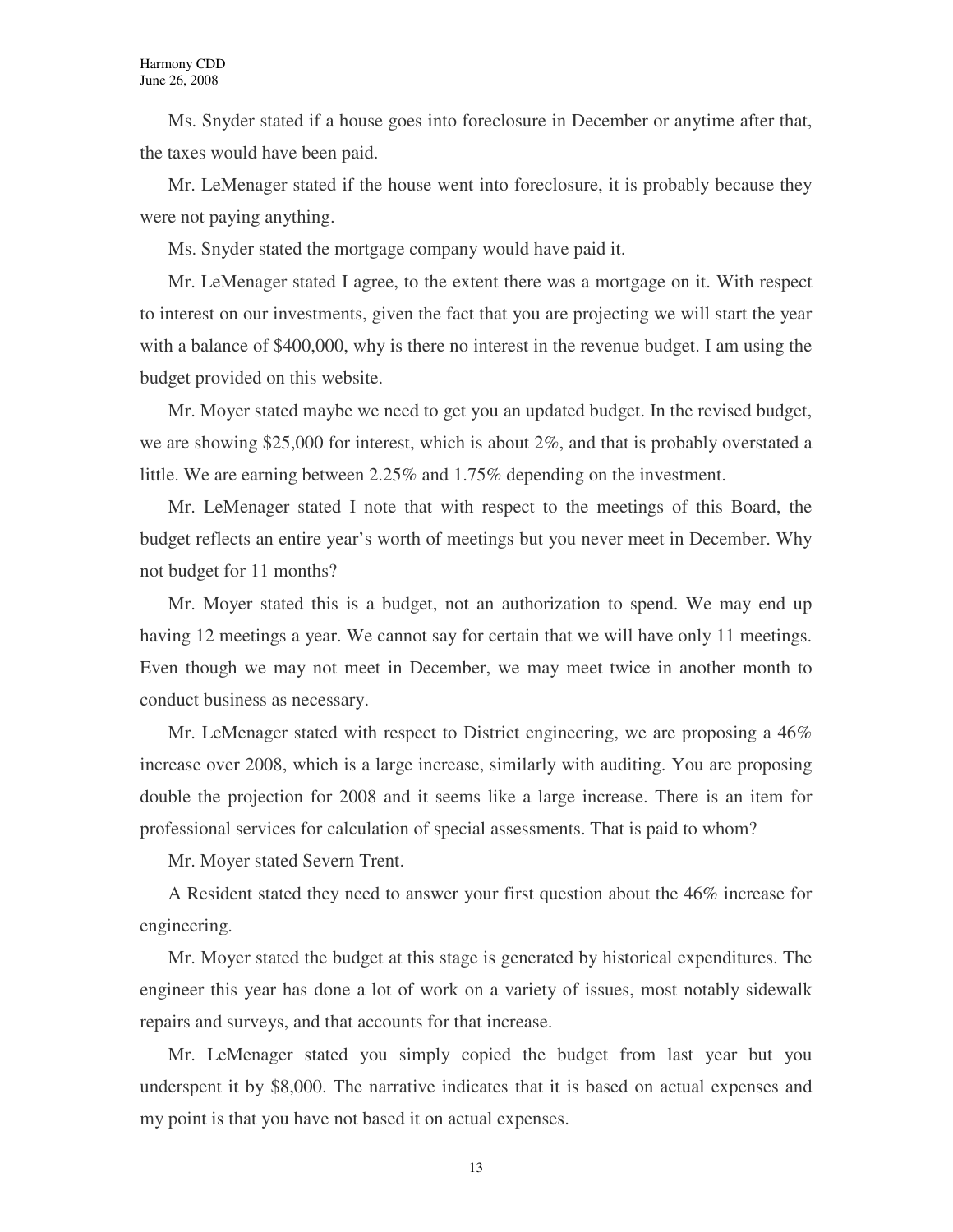Ms. Snyder stated if a house goes into foreclosure in December or anytime after that, the taxes would have been paid.

Mr. LeMenager stated if the house went into foreclosure, it is probably because they were not paying anything.

Ms. Snyder stated the mortgage company would have paid it.

Mr. LeMenager stated I agree, to the extent there was a mortgage on it. With respect to interest on our investments, given the fact that you are projecting we will start the year with a balance of \$400,000, why is there no interest in the revenue budget. I am using the budget provided on this website.

Mr. Moyer stated maybe we need to get you an updated budget. In the revised budget, we are showing \$25,000 for interest, which is about 2%, and that is probably overstated a little. We are earning between 2.25% and 1.75% depending on the investment.

Mr. LeMenager stated I note that with respect to the meetings of this Board, the budget reflects an entire year's worth of meetings but you never meet in December. Why not budget for 11 months?

Mr. Moyer stated this is a budget, not an authorization to spend. We may end up having 12 meetings a year. We cannot say for certain that we will have only 11 meetings. Even though we may not meet in December, we may meet twice in another month to conduct business as necessary.

Mr. LeMenager stated with respect to District engineering, we are proposing a 46% increase over 2008, which is a large increase, similarly with auditing. You are proposing double the projection for 2008 and it seems like a large increase. There is an item for professional services for calculation of special assessments. That is paid to whom?

Mr. Moyer stated Severn Trent.

A Resident stated they need to answer your first question about the 46% increase for engineering.

Mr. Moyer stated the budget at this stage is generated by historical expenditures. The engineer this year has done a lot of work on a variety of issues, most notably sidewalk repairs and surveys, and that accounts for that increase.

Mr. LeMenager stated you simply copied the budget from last year but you underspent it by \$8,000. The narrative indicates that it is based on actual expenses and my point is that you have not based it on actual expenses.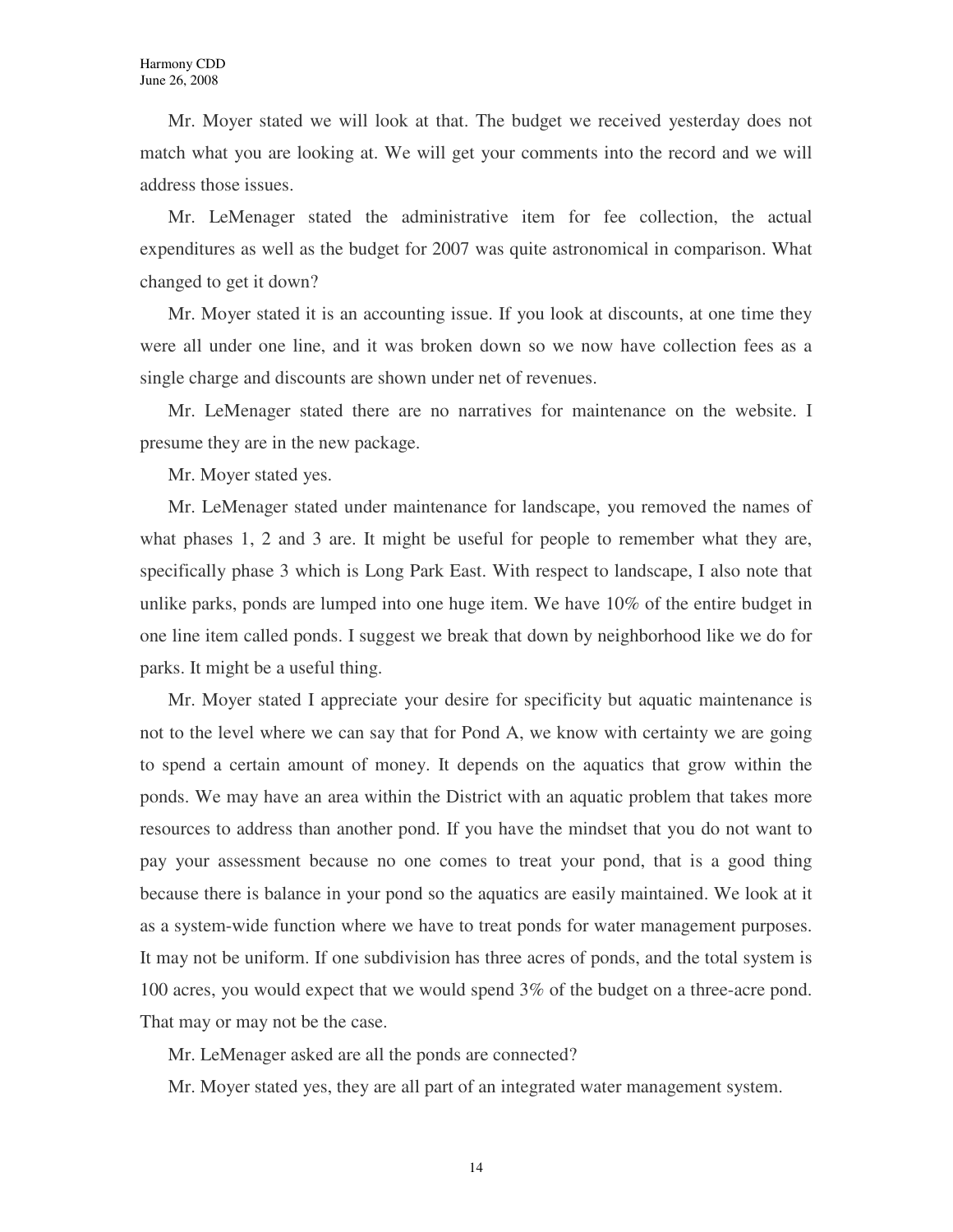Mr. Moyer stated we will look at that. The budget we received yesterday does not match what you are looking at. We will get your comments into the record and we will address those issues.

Mr. LeMenager stated the administrative item for fee collection, the actual expenditures as well as the budget for 2007 was quite astronomical in comparison. What changed to get it down?

Mr. Moyer stated it is an accounting issue. If you look at discounts, at one time they were all under one line, and it was broken down so we now have collection fees as a single charge and discounts are shown under net of revenues.

Mr. LeMenager stated there are no narratives for maintenance on the website. I presume they are in the new package.

Mr. Moyer stated yes.

Mr. LeMenager stated under maintenance for landscape, you removed the names of what phases 1, 2 and 3 are. It might be useful for people to remember what they are, specifically phase 3 which is Long Park East. With respect to landscape, I also note that unlike parks, ponds are lumped into one huge item. We have 10% of the entire budget in one line item called ponds. I suggest we break that down by neighborhood like we do for parks. It might be a useful thing.

Mr. Moyer stated I appreciate your desire for specificity but aquatic maintenance is not to the level where we can say that for Pond A, we know with certainty we are going to spend a certain amount of money. It depends on the aquatics that grow within the ponds. We may have an area within the District with an aquatic problem that takes more resources to address than another pond. If you have the mindset that you do not want to pay your assessment because no one comes to treat your pond, that is a good thing because there is balance in your pond so the aquatics are easily maintained. We look at it as a system-wide function where we have to treat ponds for water management purposes. It may not be uniform. If one subdivision has three acres of ponds, and the total system is 100 acres, you would expect that we would spend 3% of the budget on a three-acre pond. That may or may not be the case.

Mr. LeMenager asked are all the ponds are connected?

Mr. Moyer stated yes, they are all part of an integrated water management system.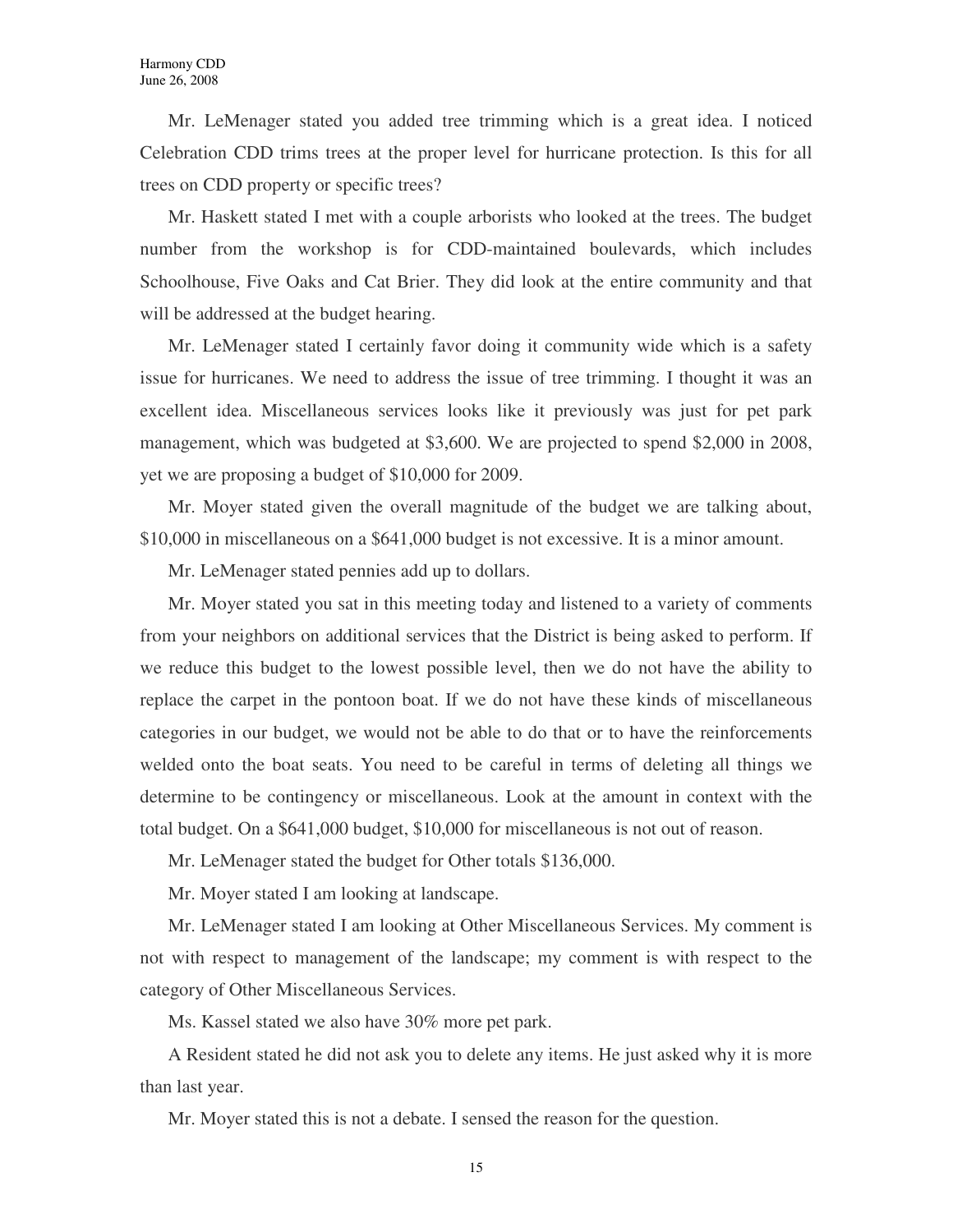Mr. LeMenager stated you added tree trimming which is a great idea. I noticed Celebration CDD trims trees at the proper level for hurricane protection. Is this for all trees on CDD property or specific trees?

Mr. Haskett stated I met with a couple arborists who looked at the trees. The budget number from the workshop is for CDD-maintained boulevards, which includes Schoolhouse, Five Oaks and Cat Brier. They did look at the entire community and that will be addressed at the budget hearing.

Mr. LeMenager stated I certainly favor doing it community wide which is a safety issue for hurricanes. We need to address the issue of tree trimming. I thought it was an excellent idea. Miscellaneous services looks like it previously was just for pet park management, which was budgeted at \$3,600. We are projected to spend \$2,000 in 2008, yet we are proposing a budget of \$10,000 for 2009.

Mr. Moyer stated given the overall magnitude of the budget we are talking about, \$10,000 in miscellaneous on a \$641,000 budget is not excessive. It is a minor amount.

Mr. LeMenager stated pennies add up to dollars.

Mr. Moyer stated you sat in this meeting today and listened to a variety of comments from your neighbors on additional services that the District is being asked to perform. If we reduce this budget to the lowest possible level, then we do not have the ability to replace the carpet in the pontoon boat. If we do not have these kinds of miscellaneous categories in our budget, we would not be able to do that or to have the reinforcements welded onto the boat seats. You need to be careful in terms of deleting all things we determine to be contingency or miscellaneous. Look at the amount in context with the total budget. On a \$641,000 budget, \$10,000 for miscellaneous is not out of reason.

Mr. LeMenager stated the budget for Other totals \$136,000.

Mr. Moyer stated I am looking at landscape.

Mr. LeMenager stated I am looking at Other Miscellaneous Services. My comment is not with respect to management of the landscape; my comment is with respect to the category of Other Miscellaneous Services.

Ms. Kassel stated we also have 30% more pet park.

A Resident stated he did not ask you to delete any items. He just asked why it is more than last year.

Mr. Moyer stated this is not a debate. I sensed the reason for the question.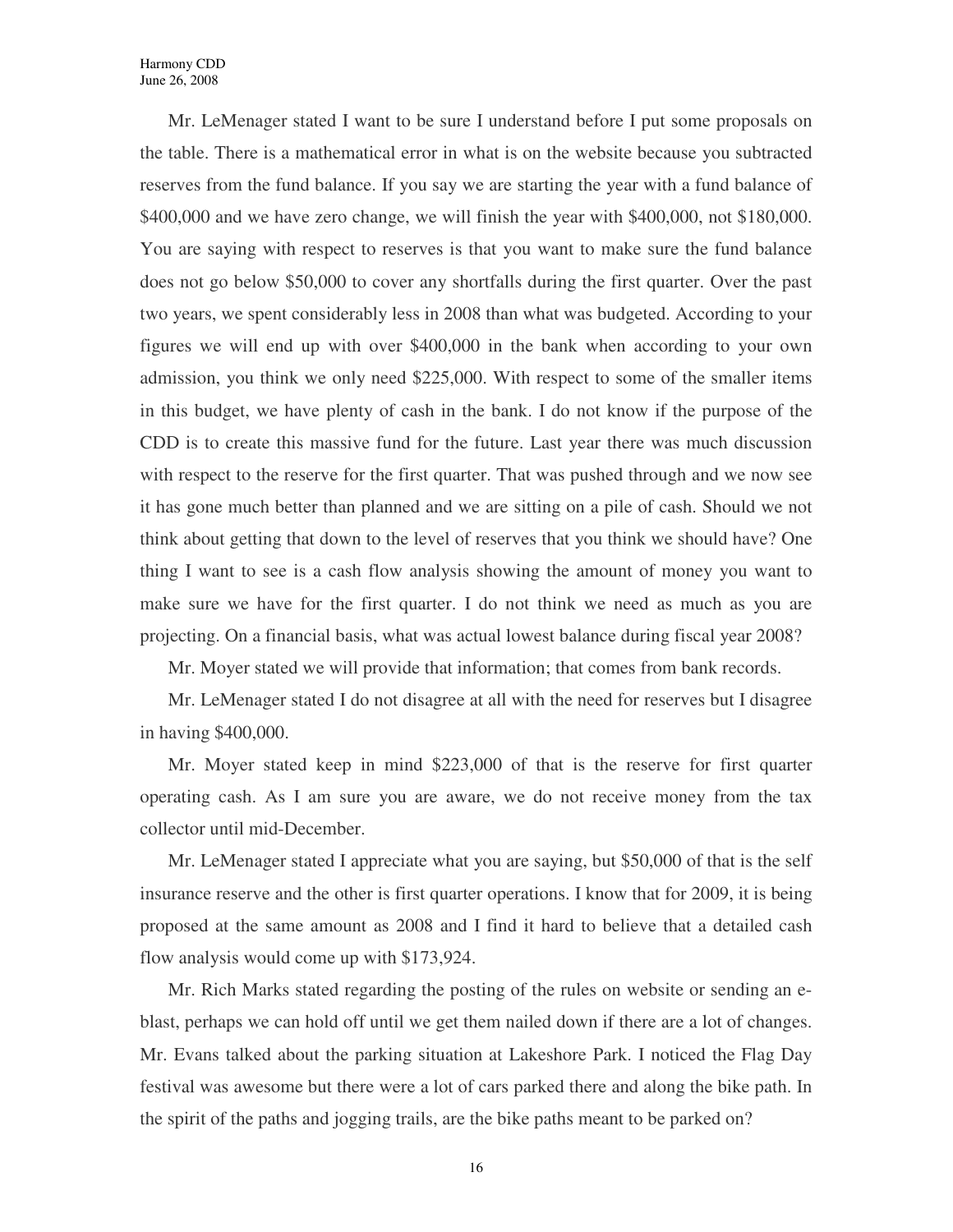Mr. LeMenager stated I want to be sure I understand before I put some proposals on the table. There is a mathematical error in what is on the website because you subtracted reserves from the fund balance. If you say we are starting the year with a fund balance of \$400,000 and we have zero change, we will finish the year with \$400,000, not \$180,000. You are saying with respect to reserves is that you want to make sure the fund balance does not go below \$50,000 to cover any shortfalls during the first quarter. Over the past two years, we spent considerably less in 2008 than what was budgeted. According to your figures we will end up with over \$400,000 in the bank when according to your own admission, you think we only need \$225,000. With respect to some of the smaller items in this budget, we have plenty of cash in the bank. I do not know if the purpose of the CDD is to create this massive fund for the future. Last year there was much discussion with respect to the reserve for the first quarter. That was pushed through and we now see it has gone much better than planned and we are sitting on a pile of cash. Should we not think about getting that down to the level of reserves that you think we should have? One thing I want to see is a cash flow analysis showing the amount of money you want to make sure we have for the first quarter. I do not think we need as much as you are projecting. On a financial basis, what was actual lowest balance during fiscal year 2008?

Mr. Moyer stated we will provide that information; that comes from bank records.

Mr. LeMenager stated I do not disagree at all with the need for reserves but I disagree in having \$400,000.

Mr. Moyer stated keep in mind \$223,000 of that is the reserve for first quarter operating cash. As I am sure you are aware, we do not receive money from the tax collector until mid-December.

Mr. LeMenager stated I appreciate what you are saying, but \$50,000 of that is the self insurance reserve and the other is first quarter operations. I know that for 2009, it is being proposed at the same amount as 2008 and I find it hard to believe that a detailed cash flow analysis would come up with \$173,924.

Mr. Rich Marks stated regarding the posting of the rules on website or sending an eblast, perhaps we can hold off until we get them nailed down if there are a lot of changes. Mr. Evans talked about the parking situation at Lakeshore Park. I noticed the Flag Day festival was awesome but there were a lot of cars parked there and along the bike path. In the spirit of the paths and jogging trails, are the bike paths meant to be parked on?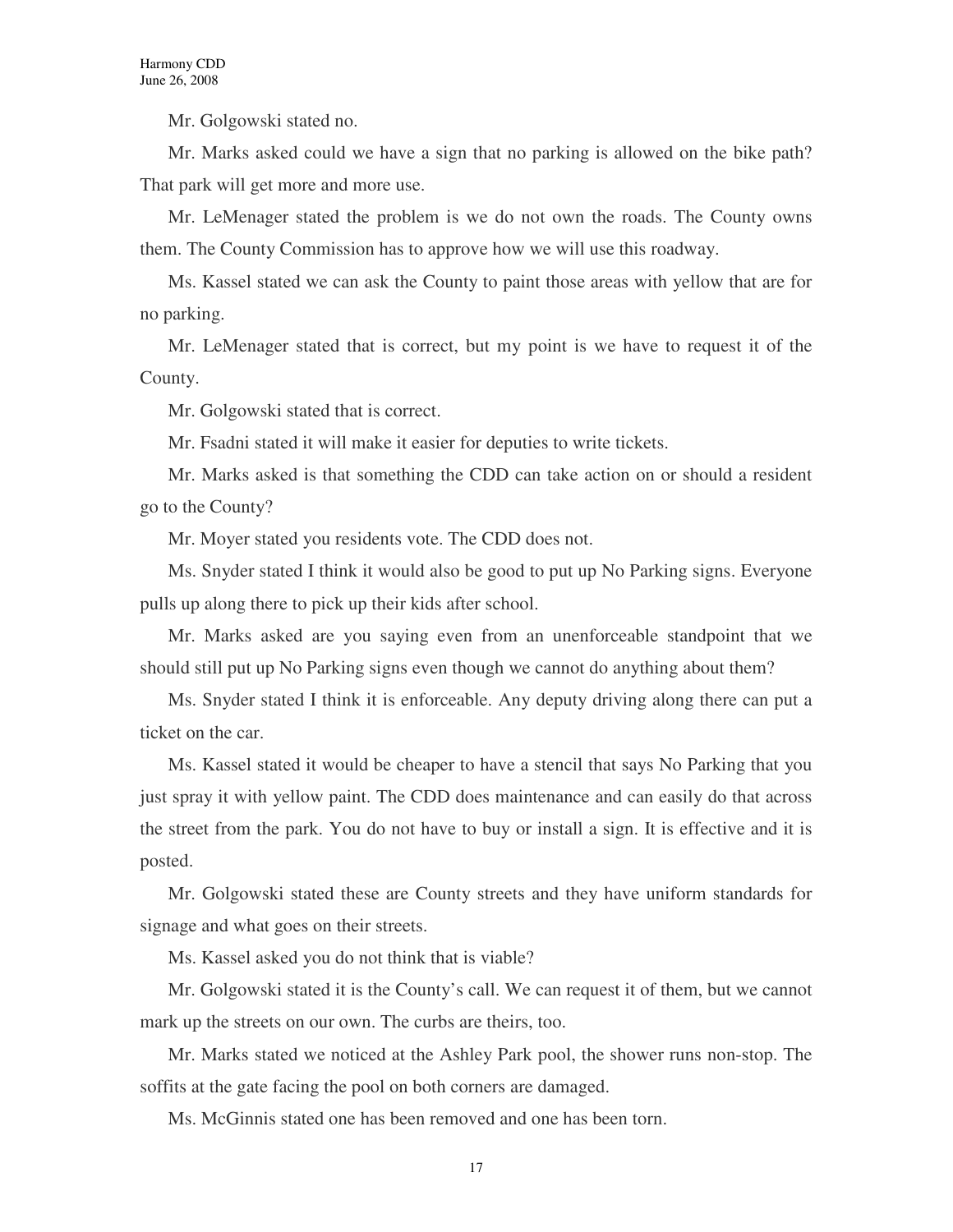Mr. Golgowski stated no.

Mr. Marks asked could we have a sign that no parking is allowed on the bike path? That park will get more and more use.

Mr. LeMenager stated the problem is we do not own the roads. The County owns them. The County Commission has to approve how we will use this roadway.

Ms. Kassel stated we can ask the County to paint those areas with yellow that are for no parking.

Mr. LeMenager stated that is correct, but my point is we have to request it of the County.

Mr. Golgowski stated that is correct.

Mr. Fsadni stated it will make it easier for deputies to write tickets.

Mr. Marks asked is that something the CDD can take action on or should a resident go to the County?

Mr. Moyer stated you residents vote. The CDD does not.

Ms. Snyder stated I think it would also be good to put up No Parking signs. Everyone pulls up along there to pick up their kids after school.

Mr. Marks asked are you saying even from an unenforceable standpoint that we should still put up No Parking signs even though we cannot do anything about them?

Ms. Snyder stated I think it is enforceable. Any deputy driving along there can put a ticket on the car.

Ms. Kassel stated it would be cheaper to have a stencil that says No Parking that you just spray it with yellow paint. The CDD does maintenance and can easily do that across the street from the park. You do not have to buy or install a sign. It is effective and it is posted.

Mr. Golgowski stated these are County streets and they have uniform standards for signage and what goes on their streets.

Ms. Kassel asked you do not think that is viable?

Mr. Golgowski stated it is the County's call. We can request it of them, but we cannot mark up the streets on our own. The curbs are theirs, too.

Mr. Marks stated we noticed at the Ashley Park pool, the shower runs non-stop. The soffits at the gate facing the pool on both corners are damaged.

Ms. McGinnis stated one has been removed and one has been torn.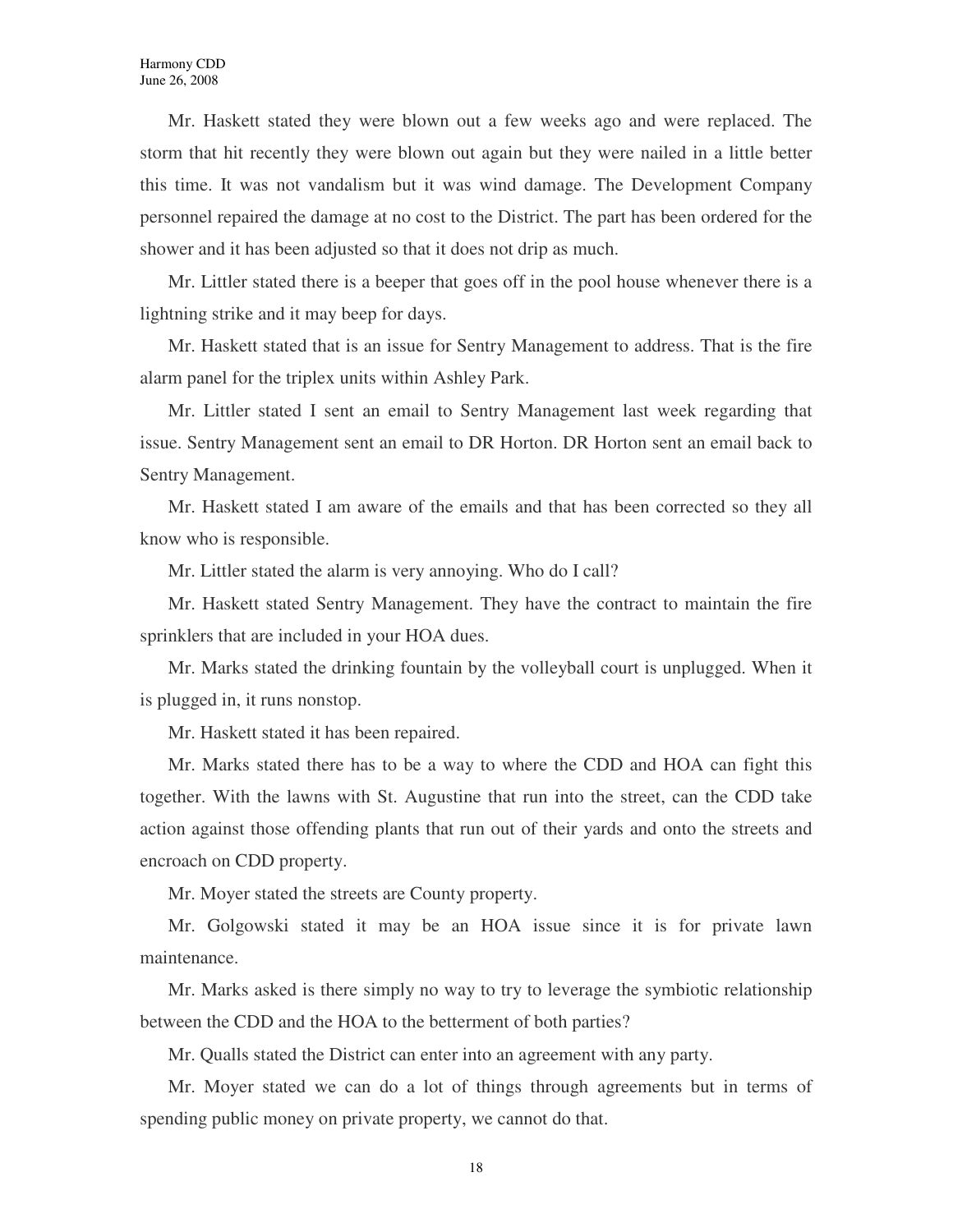Mr. Haskett stated they were blown out a few weeks ago and were replaced. The storm that hit recently they were blown out again but they were nailed in a little better this time. It was not vandalism but it was wind damage. The Development Company personnel repaired the damage at no cost to the District. The part has been ordered for the shower and it has been adjusted so that it does not drip as much.

Mr. Littler stated there is a beeper that goes off in the pool house whenever there is a lightning strike and it may beep for days.

Mr. Haskett stated that is an issue for Sentry Management to address. That is the fire alarm panel for the triplex units within Ashley Park.

Mr. Littler stated I sent an email to Sentry Management last week regarding that issue. Sentry Management sent an email to DR Horton. DR Horton sent an email back to Sentry Management.

Mr. Haskett stated I am aware of the emails and that has been corrected so they all know who is responsible.

Mr. Littler stated the alarm is very annoying. Who do I call?

Mr. Haskett stated Sentry Management. They have the contract to maintain the fire sprinklers that are included in your HOA dues.

Mr. Marks stated the drinking fountain by the volleyball court is unplugged. When it is plugged in, it runs nonstop.

Mr. Haskett stated it has been repaired.

Mr. Marks stated there has to be a way to where the CDD and HOA can fight this together. With the lawns with St. Augustine that run into the street, can the CDD take action against those offending plants that run out of their yards and onto the streets and encroach on CDD property.

Mr. Moyer stated the streets are County property.

Mr. Golgowski stated it may be an HOA issue since it is for private lawn maintenance.

Mr. Marks asked is there simply no way to try to leverage the symbiotic relationship between the CDD and the HOA to the betterment of both parties?

Mr. Qualls stated the District can enter into an agreement with any party.

Mr. Moyer stated we can do a lot of things through agreements but in terms of spending public money on private property, we cannot do that.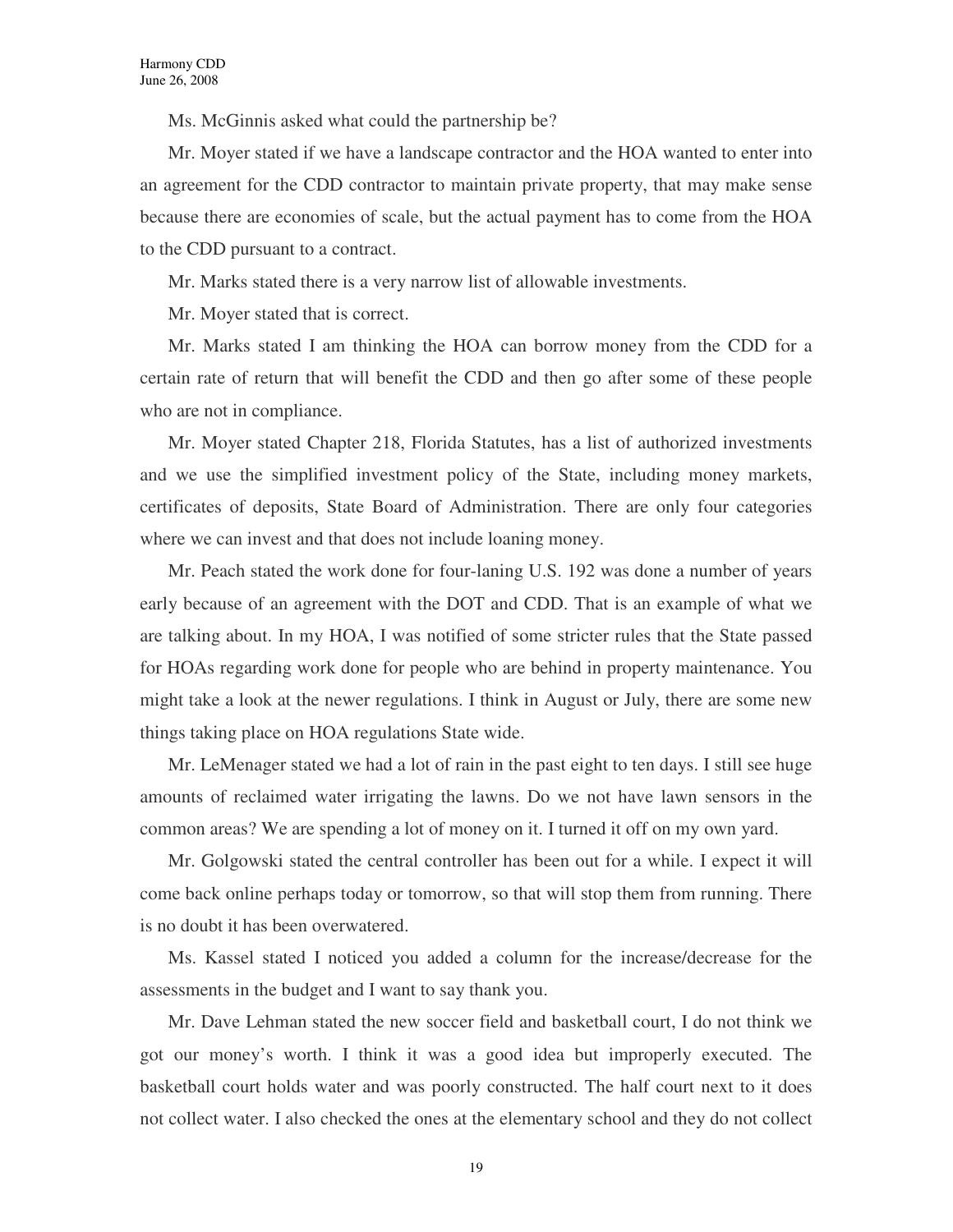Ms. McGinnis asked what could the partnership be?

Mr. Moyer stated if we have a landscape contractor and the HOA wanted to enter into an agreement for the CDD contractor to maintain private property, that may make sense because there are economies of scale, but the actual payment has to come from the HOA to the CDD pursuant to a contract.

Mr. Marks stated there is a very narrow list of allowable investments.

Mr. Moyer stated that is correct.

Mr. Marks stated I am thinking the HOA can borrow money from the CDD for a certain rate of return that will benefit the CDD and then go after some of these people who are not in compliance.

Mr. Moyer stated Chapter 218, Florida Statutes, has a list of authorized investments and we use the simplified investment policy of the State, including money markets, certificates of deposits, State Board of Administration. There are only four categories where we can invest and that does not include loaning money.

Mr. Peach stated the work done for four-laning U.S. 192 was done a number of years early because of an agreement with the DOT and CDD. That is an example of what we are talking about. In my HOA, I was notified of some stricter rules that the State passed for HOAs regarding work done for people who are behind in property maintenance. You might take a look at the newer regulations. I think in August or July, there are some new things taking place on HOA regulations State wide.

Mr. LeMenager stated we had a lot of rain in the past eight to ten days. I still see huge amounts of reclaimed water irrigating the lawns. Do we not have lawn sensors in the common areas? We are spending a lot of money on it. I turned it off on my own yard.

Mr. Golgowski stated the central controller has been out for a while. I expect it will come back online perhaps today or tomorrow, so that will stop them from running. There is no doubt it has been overwatered.

Ms. Kassel stated I noticed you added a column for the increase/decrease for the assessments in the budget and I want to say thank you.

Mr. Dave Lehman stated the new soccer field and basketball court, I do not think we got our money's worth. I think it was a good idea but improperly executed. The basketball court holds water and was poorly constructed. The half court next to it does not collect water. I also checked the ones at the elementary school and they do not collect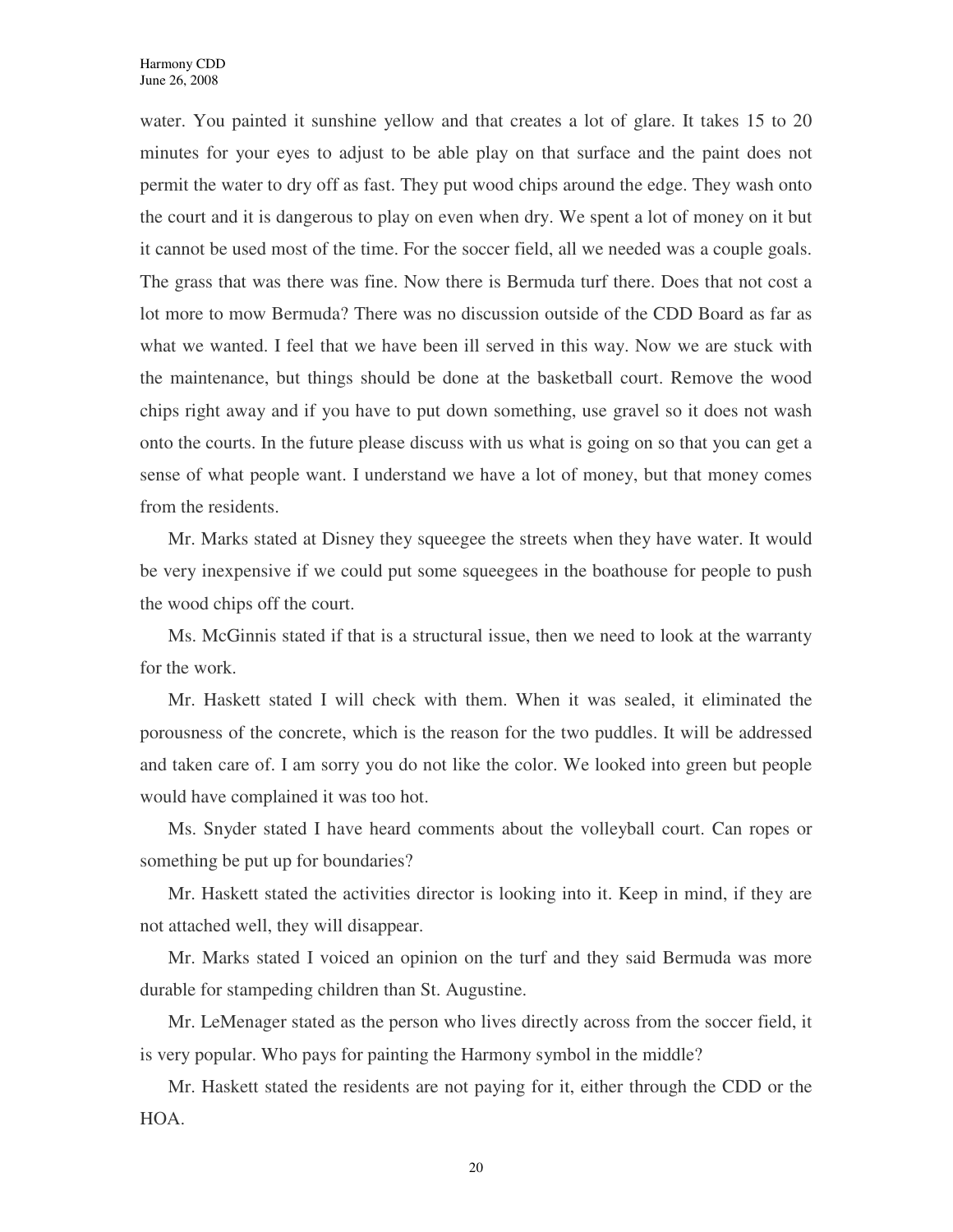water. You painted it sunshine yellow and that creates a lot of glare. It takes 15 to 20 minutes for your eyes to adjust to be able play on that surface and the paint does not permit the water to dry off as fast. They put wood chips around the edge. They wash onto the court and it is dangerous to play on even when dry. We spent a lot of money on it but it cannot be used most of the time. For the soccer field, all we needed was a couple goals. The grass that was there was fine. Now there is Bermuda turf there. Does that not cost a lot more to mow Bermuda? There was no discussion outside of the CDD Board as far as what we wanted. I feel that we have been ill served in this way. Now we are stuck with the maintenance, but things should be done at the basketball court. Remove the wood chips right away and if you have to put down something, use gravel so it does not wash onto the courts. In the future please discuss with us what is going on so that you can get a sense of what people want. I understand we have a lot of money, but that money comes from the residents.

Mr. Marks stated at Disney they squeegee the streets when they have water. It would be very inexpensive if we could put some squeegees in the boathouse for people to push the wood chips off the court.

Ms. McGinnis stated if that is a structural issue, then we need to look at the warranty for the work.

Mr. Haskett stated I will check with them. When it was sealed, it eliminated the porousness of the concrete, which is the reason for the two puddles. It will be addressed and taken care of. I am sorry you do not like the color. We looked into green but people would have complained it was too hot.

Ms. Snyder stated I have heard comments about the volleyball court. Can ropes or something be put up for boundaries?

Mr. Haskett stated the activities director is looking into it. Keep in mind, if they are not attached well, they will disappear.

Mr. Marks stated I voiced an opinion on the turf and they said Bermuda was more durable for stampeding children than St. Augustine.

Mr. LeMenager stated as the person who lives directly across from the soccer field, it is very popular. Who pays for painting the Harmony symbol in the middle?

Mr. Haskett stated the residents are not paying for it, either through the CDD or the HOA.